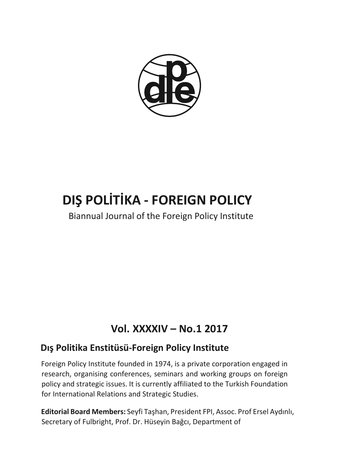

# **DIŞ POLİTİKA - FOREIGN POLICY**

Biannual Journal of the Foreign Policy Institute

## **Vol. XXXXIV – No.1 2017**

## **Dış Politika Enstitüsü-Foreign Policy Institute**

Foreign Policy Institute founded in 1974, is a private corporation engaged in research, organising conferences, seminars and working groups on foreign policy and strategic issues. It is currently affiliated to the Turkish Foundation for International Relations and Strategic Studies.

**Editorial Board Members:** Seyfi Taşhan, President FPI, Assoc. Prof Ersel Aydınlı, Secretary of Fulbright, Prof. Dr. Hüseyin Bağcı, Department of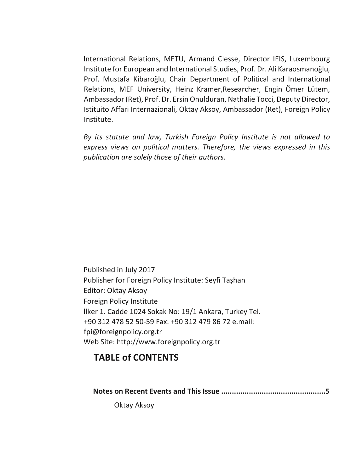International Relations, METU, Armand Clesse, Director IEIS, Luxembourg Institute for European and International Studies, Prof. Dr. Ali Karaosmanoğlu, Prof. Mustafa Kibaroğlu, Chair Department of Political and International Relations, MEF University, Heinz Kramer,Researcher, Engin Ömer Lütem, Ambassador (Ret), Prof. Dr. Ersin Onulduran, Nathalie Tocci, Deputy Director, Istituito Affari Internazionali, Oktay Aksoy, Ambassador (Ret), Foreign Policy Institute.

*By its statute and law, Turkish Foreign Policy Institute is not allowed to express views on political matters. Therefore, the views expressed in this publication are solely those of their authors.*

Published in July 2017 Publisher for Foreign Policy Institute: Seyfi Taşhan Editor: Oktay Aksoy Foreign Policy Institute İlker 1. Cadde 1024 Sokak No: 19/1 Ankara, Turkey Tel. +90 312 478 52 50-59 Fax: +90 312 479 86 72 e.mail: fpi@foreignpolicy.org.tr Web Site: http://www.foreignpolicy.org.tr

## **TABLE of CONTENTS**

**Notes on Recent Events and This Issue .................................................5**

Oktay Aksoy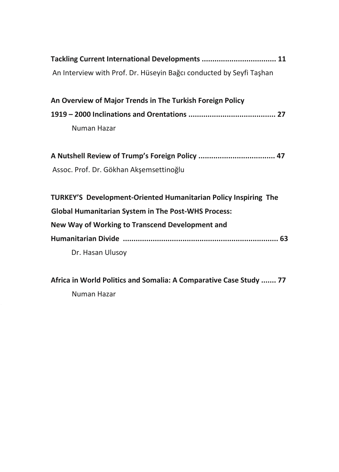**Africa in World Politics and Somalia: A Comparative Case Study ....... 77** Numan Hazar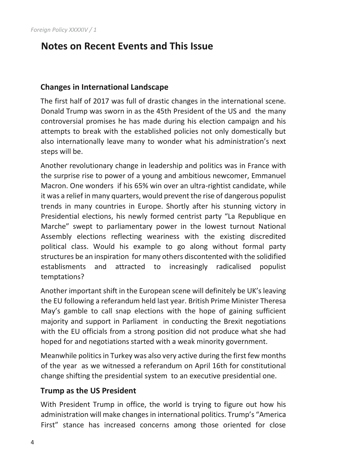## **Notes on Recent Events and This Issue**

## **Changes in International Landscape**

The first half of 2017 was full of drastic changes in the international scene. Donald Trump was sworn in as the 45th President of the US and the many controversial promises he has made during his election campaign and his attempts to break with the established policies not only domestically but also internationally leave many to wonder what his administration's next steps will be.

Another revolutionary change in leadership and politics was in France with the surprise rise to power of a young and ambitious newcomer, Emmanuel Macron. One wonders if his 65% win over an ultra-rightist candidate, while it was a relief in many quarters, would prevent the rise of dangerous populist trends in many countries in Europe. Shortly after his stunning victory in Presidential elections, his newly formed centrist party "La Republique en Marche" swept to parliamentary power in the lowest turnout National Assembly elections reflecting weariness with the existing discredited political class. Would his example to go along without formal party structures be an inspiration for many others discontented with the solidified establisments and attracted to increasingly radicalised populist temptations?

Another important shift in the European scene will definitely be UK's leaving the EU following a referandum held last year. British Prime Minister Theresa May's gamble to call snap elections with the hope of gaining sufficient majority and support in Parliament in conducting the Brexit negotiations with the EU officials from a strong position did not produce what she had hoped for and negotiations started with a weak minority government.

Meanwhile politics in Turkey was also very active during the first few months of the year as we witnessed a referandum on April 16th for constitutional change shifting the presidential system to an executive presidential one.

## **Trump as the US President**

With President Trump in office, the world is trying to figure out how his administration will make changes in international politics. Trump's "America First" stance has increased concerns among those oriented for close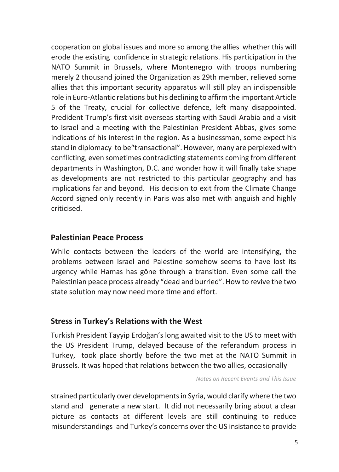cooperation on global issues and more so among the allies whether this will erode the existing confidence in strategic relations. His participation in the NATO Summit in Brussels, where Montenegro with troops numbering merely 2 thousand joined the Organization as 29th member, relieved some allies that this important security apparatus will still play an indispensible role in Euro-Atlantic relations but his declining to affirm the important Article 5 of the Treaty, crucial for collective defence, left many disappointed. Predident Trump's first visit overseas starting with Saudi Arabia and a visit to Israel and a meeting with the Palestinian President Abbas, gives some indications of his interest in the region. As a businessman, some expect his stand in diplomacy to be"transactional". However, many are perplexed with conflicting, even sometimes contradicting statements coming from different departments in Washington, D.C. and wonder how it will finally take shape as developments are not restricted to this particular geography and has implications far and beyond. His decision to exit from the Climate Change Accord signed only recently in Paris was also met with anguish and highly criticised.

## **Palestinian Peace Process**

While contacts between the leaders of the world are intensifying, the problems between Israel and Palestine somehow seems to have lost its urgency while Hamas has göne through a transition. Even some call the Palestinian peace process already "dead and burried". How to revive the two state solution may now need more time and effort.

## **Stress in Turkey's Relations with the West**

Turkish President Tayyip Erdoğan's long awaited visit to the US to meet with the US President Trump, delayed because of the referandum process in Turkey, took place shortly before the two met at the NATO Summit in Brussels. It was hoped that relations between the two allies, occasionally

*Notes on Recent Events and This Issue*

strained particularly over developments in Syria, would clarify where the two stand and generate a new start. It did not necessarily bring about a clear picture as contacts at different levels are still continuing to reduce misunderstandings and Turkey's concerns over the US insistance to provide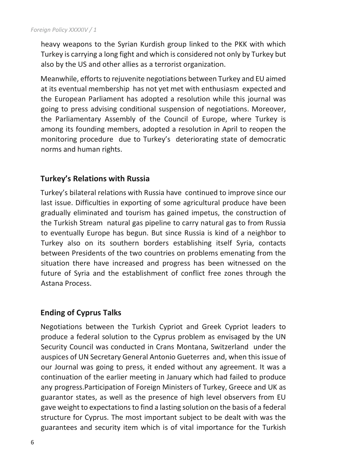heavy weapons to the Syrian Kurdish group linked to the PKK with which Turkey is carrying a long fight and which is considered not only by Turkey but also by the US and other allies as a terrorist organization.

Meanwhile, efforts to rejuvenite negotiations between Turkey and EU aimed at its eventual membership has not yet met with enthusiasm expected and the European Parliament has adopted a resolution while this journal was going to press advising conditional suspension of negotiations. Moreover, the Parliamentary Assembly of the Council of Europe, where Turkey is among its founding members, adopted a resolution in April to reopen the monitoring procedure due to Turkey's deteriorating state of democratic norms and human rights.

## **Turkey's Relations with Russia**

Turkey's bilateral relations with Russia have continued to improve since our last issue. Difficulties in exporting of some agricultural produce have been gradually eliminated and tourism has gained impetus, the construction of the Turkish Stream natural gas pipeline to carry natural gas to from Russia to eventually Europe has begun. But since Russia is kind of a neighbor to Turkey also on its southern borders establishing itself Syria, contacts between Presidents of the two countries on problems emenating from the situation there have increased and progress has been witnessed on the future of Syria and the establishment of conflict free zones through the Astana Process.

## **Ending of Cyprus Talks**

Negotiations between the Turkish Cypriot and Greek Cypriot leaders to produce a federal solution to the Cyprus problem as envisaged by the UN Security Council was conducted in Crans Montana, Switzerland under the auspices of UN Secretary General Antonio Gueterres and, when this issue of our Journal was going to press, it ended without any agreement. It was a continuation of the earlier meeting in January which had failed to produce any progress.Participation of Foreign Ministers of Turkey, Greece and UK as guarantor states, as well as the presence of high level observers from EU gave weight to expectations to find a lasting solution on the basis of a federal structure for Cyprus. The most important subject to be dealt with was the guarantees and security item which is of vital importance for the Turkish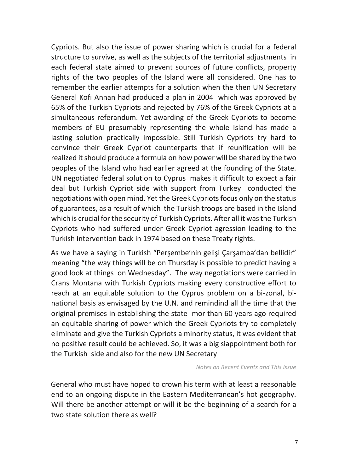Cypriots. But also the issue of power sharing which is crucial for a federal structure to survive, as well as the subjects of the territorial adjustments in each federal state aimed to prevent sources of future conflicts, property rights of the two peoples of the Island were all considered. One has to remember the earlier attempts for a solution when the then UN Secretary General Kofi Annan had produced a plan in 2004 which was approved by 65% of the Turkish Cypriots and rejected by 76% of the Greek Cypriots at a simultaneous referandum. Yet awarding of the Greek Cypriots to become members of EU presumably representing the whole Island has made a lasting solution practically impossible. Still Turkish Cypriots try hard to convince their Greek Cypriot counterparts that if reunification will be realized it should produce a formula on how power will be shared by the two peoples of the Island who had earlier agreed at the founding of the State. UN negotiated federal solution to Cyprus makes it difficult to expect a fair deal but Turkish Cypriot side with support from Turkey conducted the negotiations with open mind. Yet the Greek Cypriots focus only on the status of guarantees, as a result of which the Turkish troops are based in the Island which is crucial for the security of Turkish Cypriots. After all it was the Turkish Cypriots who had suffered under Greek Cypriot agression leading to the Turkish intervention back in 1974 based on these Treaty rights.

As we have a saying in Turkish "Perşembe'nin gelişi Çarşamba'dan bellidir" meaning "the way things will be on Thursday is possible to predict having a good look at things on Wednesday". The way negotiations were carried in Crans Montana with Turkish Cypriots making every constructive effort to reach at an equitable solution to the Cyprus problem on a bi-zonal, binational basis as envisaged by the U.N. and remindind all the time that the original premises in establishing the state mor than 60 years ago required an equitable sharing of power which the Greek Cypriots try to completely eliminate and give the Turkish Cypriots a minority status, it was evident that no positive result could be achieved. So, it was a big siappointment both for the Turkish side and also for the new UN Secretary

*Notes on Recent Events and This Issue*

General who must have hoped to crown his term with at least a reasonable end to an ongoing dispute in the Eastern Mediterranean's hot geography. Will there be another attempt or will it be the beginning of a search for a two state solution there as well?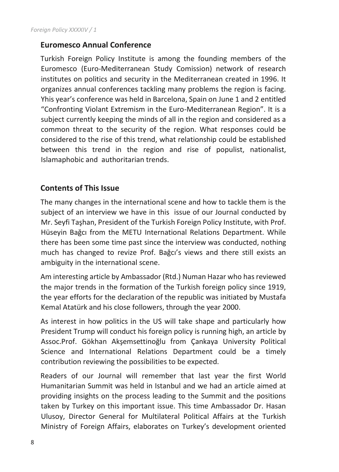## **Euromesco Annual Conference**

Turkish Foreign Policy Institute is among the founding members of the Euromesco (Euro-Mediterranean Study Comission) network of research institutes on politics and security in the Mediterranean created in 1996. It organizes annual conferences tackling many problems the region is facing. Yhis year's conference was held in Barcelona, Spain on June 1 and 2 entitled "Confronting Violant Extremism in the Euro-Mediterranean Region". It is a subject currently keeping the minds of all in the region and considered as a common threat to the security of the region. What responses could be considered to the rise of this trend, what relationship could be established between this trend in the region and rise of populist, nationalist, Islamaphobic and authoritarian trends.

## **Contents of This Issue**

The many changes in the international scene and how to tackle them is the subject of an interview we have in this issue of our Journal conducted by Mr. Seyfi Taşhan, President of the Turkish Foreign Policy Institute, with Prof. Hüseyin Bağcı from the METU International Relations Department. While there has been some time past since the interview was conducted, nothing much has changed to revize Prof. Bağcı's views and there still exists an ambiguity in the international scene.

Am interesting article by Ambassador (Rtd.) Numan Hazar who has reviewed the major trends in the formation of the Turkish foreign policy since 1919, the year efforts for the declaration of the republic was initiated by Mustafa Kemal Atatürk and his close followers, through the year 2000.

As interest in how politics in the US will take shape and particularly how President Trump will conduct his foreign policy is running high, an article by Assoc.Prof. Gökhan Akşemsettinoğlu from Çankaya University Political Science and International Relations Department could be a timely contribution reviewing the possibilities to be expected.

Readers of our Journal will remember that last year the first World Humanitarian Summit was held in Istanbul and we had an article aimed at providing insights on the process leading to the Summit and the positions taken by Turkey on this important issue. This time Ambassador Dr. Hasan Ulusoy, Director General for Multilateral Political Affairs at the Turkish Ministry of Foreign Affairs, elaborates on Turkey's development oriented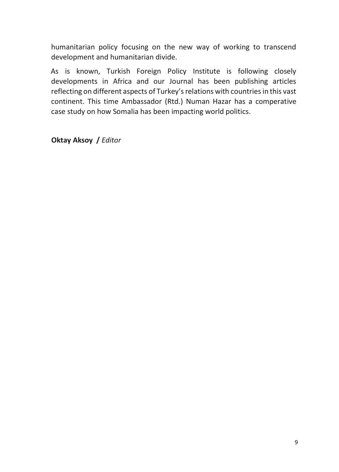humanitarian policy focusing on the new way of working to transcend development and humanitarian divide.

As is known, Turkish Foreign Policy Institute is following closely developments in Africa and our Journal has been publishing articles reflecting on different aspects of Turkey's relations with countries in this vast continent. This time Ambassador (Rtd.) Numan Hazar has a comperative case study on how Somalia has been impacting world politics.

**Oktay Aksoy /** *Editor*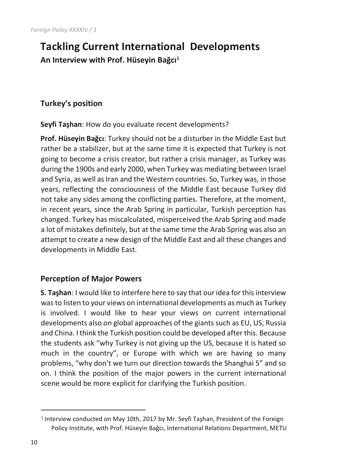## **Tackling Current International Developments An Interview with Prof. Hüseyin Bağcı<sup>1</sup>**

## **Turkey's position**

**Seyfi Taşhan**: How do you evaluate recent developments?

**Prof. Hüseyin Bağcı**: Turkey should not be a disturber in the Middle East but rather be a stabilizer, but at the same time it is expected that Turkey is not going to become a crisis creator, but rather a crisis manager, as Turkey was during the 1900s and early 2000, when Turkey was mediating between Israel and Syria, as well as Iran and the Western countries. So, Turkey was, in those years, reflecting the consciousness of the Middle East because Turkey did not take any sides among the conflicting parties. Therefore, at the moment, in recent years, since the Arab Spring in particular, Turkish perception has changed. Turkey has miscalculated, misperceived the Arab Spring and made a lot of mistakes definitely, but at the same time the Arab Spring was also an attempt to create a new design of the Middle East and all these changes and developments in Middle East.

## **Perception of Major Powers**

**S. Taşhan**: I would like to interfere here to say that our idea for this interview was to listen to your views on international developments as much as Turkey is involved. I would like to hear your views on current international developments also on global approaches of the giants such as EU, US, Russia and China. I think the Turkish position could be developed after this. Because the students ask "why Turkey is not giving up the US, because it is hated so much in the country", or Europe with which we are having so many problems, "why don't we turn our direction towards the Shanghai 5" and so on. I think the position of the major powers in the current international scene would be more explicit for clarifying the Turkish position.

 $\overline{a}$ 

<sup>&</sup>lt;sup>1</sup> Interview conducted on May 10th, 2017 by Mr. Seyfi Taşhan, President of the Foreign Policy Institute, with Prof. Hüseyin Bağcı, International Relations Department, METU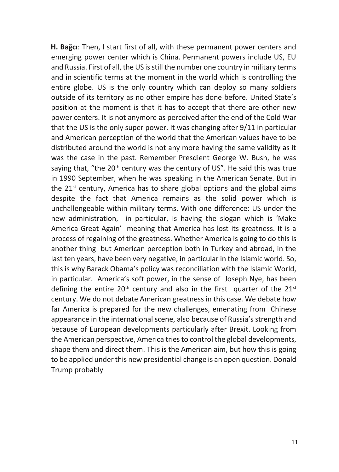**H. Bağcı**: Then, I start first of all, with these permanent power centers and emerging power center which is China. Permanent powers include US, EU and Russia. First of all, the US is still the number one country in military terms and in scientific terms at the moment in the world which is controlling the entire globe. US is the only country which can deploy so many soldiers outside of its territory as no other empire has done before. United State's position at the moment is that it has to accept that there are other new power centers. It is not anymore as perceived after the end of the Cold War that the US is the only super power. It was changing after 9/11 in particular and American perception of the world that the American values have to be distributed around the world is not any more having the same validity as it was the case in the past. Remember Presdient George W. Bush, he was saying that, "the 20<sup>th</sup> century was the century of US". He said this was true in 1990 September, when he was speaking in the American Senate. But in the  $21<sup>st</sup>$  century, America has to share global options and the global aims despite the fact that America remains as the solid power which is unchallengeable within military terms. With one difference: US under the new administration, in particular, is having the slogan which is 'Make America Great Again' meaning that America has lost its greatness. It is a process of regaining of the greatness. Whether America is going to do this is another thing but American perception both in Turkey and abroad, in the last ten years, have been very negative, in particular in the Islamic world. So, this is why Barack Obama's policy was reconciliation with the Islamic World, in particular. America's soft power, in the sense of Joseph Nye, has been defining the entire  $20<sup>th</sup>$  century and also in the first quarter of the  $21<sup>st</sup>$ century. We do not debate American greatness in this case. We debate how far America is prepared for the new challenges, emenating from Chinese appearance in the international scene, also because of Russia's strength and because of European developments particularly after Brexit. Looking from the American perspective, America tries to control the global developments, shape them and direct them. This is the American aim, but how this is going to be applied under this new presidential change is an open question. Donald Trump probably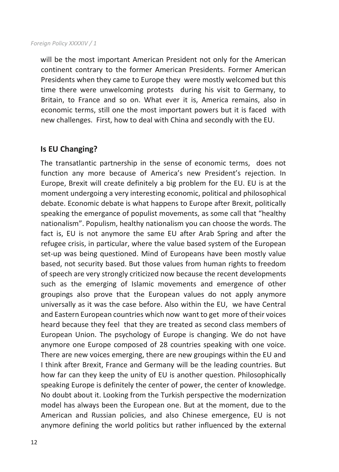#### *Foreign Policy XXXXIV / 1*

will be the most important American President not only for the American continent contrary to the former American Presidents. Former American Presidents when they came to Europe they were mostly welcomed but this time there were unwelcoming protests during his visit to Germany, to Britain, to France and so on. What ever it is, America remains, also in economic terms, still one the most important powers but it is faced with new challenges. First, how to deal with China and secondly with the EU.

## **Is EU Changing?**

The transatlantic partnership in the sense of economic terms, does not function any more because of America's new President's rejection. In Europe, Brexit will create definitely a big problem for the EU. EU is at the moment undergoing a very interesting economic, political and philosophical debate. Economic debate is what happens to Europe after Brexit, politically speaking the emergance of populist movements, as some call that "healthy nationalism". Populism, healthy nationalism you can choose the words. The fact is, EU is not anymore the same EU after Arab Spring and after the refugee crisis, in particular, where the value based system of the European set-up was being questioned. Mind of Europeans have been mostly value based, not security based. But those values from human rights to freedom of speech are very strongly criticized now because the recent developments such as the emerging of Islamic movements and emergence of other groupings also prove that the European values do not apply anymore universally as it was the case before. Also within the EU, we have Central and Eastern European countries which now want to get more of their voices heard because they feel that they are treated as second class members of European Union. The psychology of Europe is changing. We do not have anymore one Europe composed of 28 countries speaking with one voice. There are new voices emerging, there are new groupings within the EU and I think after Brexit, France and Germany will be the leading countries. But how far can they keep the unity of EU is another question. Philosophically speaking Europe is definitely the center of power, the center of knowledge. No doubt about it. Looking from the Turkish perspective the modernization model has always been the European one. But at the moment, due to the American and Russian policies, and also Chinese emergence, EU is not anymore defining the world politics but rather influenced by the external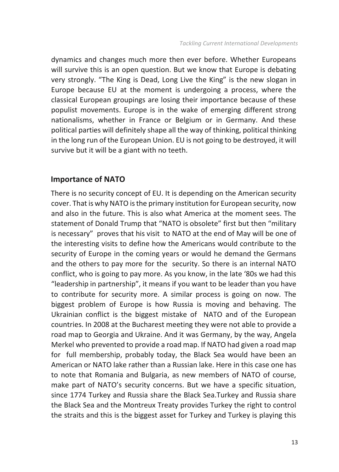dynamics and changes much more then ever before. Whether Europeans will survive this is an open question. But we know that Europe is debating very strongly. "The King is Dead, Long Live the King" is the new slogan in Europe because EU at the moment is undergoing a process, where the classical European groupings are losing their importance because of these populist movements. Europe is in the wake of emerging different strong nationalisms, whether in France or Belgium or in Germany. And these political parties will definitely shape all the way of thinking, political thinking in the long run of the European Union. EU is not going to be destroyed, it will survive but it will be a giant with no teeth.

### **Importance of NATO**

There is no security concept of EU. It is depending on the American security cover. That is why NATO is the primary institution for European security, now and also in the future. This is also what America at the moment sees. The statement of Donald Trump that "NATO is obsolete" first but then "military is necessary" proves that his visit to NATO at the end of May will be one of the interesting visits to define how the Americans would contribute to the security of Europe in the coming years or would he demand the Germans and the others to pay more for the security. So there is an internal NATO conflict, who is going to pay more. As you know, in the late '80s we had this "leadership in partnership", it means if you want to be leader than you have to contribute for security more. A similar process is going on now. The biggest problem of Europe is how Russia is moving and behaving. The Ukrainian conflict is the biggest mistake of NATO and of the European countries. In 2008 at the Bucharest meeting they were not able to provide a road map to Georgia and Ukraine. And it was Germany, by the way, Angela Merkel who prevented to provide a road map. If NATO had given a road map for full membership, probably today, the Black Sea would have been an American or NATO lake rather than a Russian lake. Here in this case one has to note that Romania and Bulgaria, as new members of NATO of course, make part of NATO's security concerns. But we have a specific situation, since 1774 Turkey and Russia share the Black Sea.Turkey and Russia share the Black Sea and the Montreux Treaty provides Turkey the right to control the straits and this is the biggest asset for Turkey and Turkey is playing this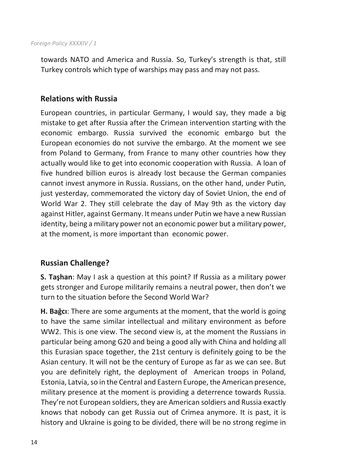towards NATO and America and Russia. So, Turkey's strength is that, still Turkey controls which type of warships may pass and may not pass.

## **Relations with Russia**

European countries, in particular Germany, I would say, they made a big mistake to get after Russia after the Crimean intervention starting with the economic embargo. Russia survived the economic embargo but the European economies do not survive the embargo. At the moment we see from Poland to Germany, from France to many other countries how they actually would like to get into economic cooperation with Russia. A loan of five hundred billion euros is already lost because the German companies cannot invest anymore in Russia. Russians, on the other hand, under Putin, just yesterday, commemorated the victory day of Soviet Union, the end of World War 2. They still celebrate the day of May 9th as the victory day against Hitler, against Germany. It means under Putin we have a new Russian identity, being a military power not an economic power but a military power, at the moment, is more important than economic power.

## **Russian Challenge?**

**S. Taşhan**: May I ask a question at this point? If Russia as a military power gets stronger and Europe militarily remains a neutral power, then don't we turn to the situation before the Second World War?

**H. Bağcı**: There are some arguments at the moment, that the world is going to have the same similar intellectual and military environment as before WW2. This is one view. The second view is, at the moment the Russians in particular being among G20 and being a good ally with China and holding all this Eurasian space together, the 21st century is definitely going to be the Asian century. It will not be the century of Europe as far as we can see. But you are definitely right, the deployment of American troops in Poland, Estonia, Latvia, so in the Central and Eastern Europe, the American presence, military presence at the moment is providing a deterrence towards Russia. They're not European soldiers, they are American soldiers and Russia exactly knows that nobody can get Russia out of Crimea anymore. It is past, it is history and Ukraine is going to be divided, there will be no strong regime in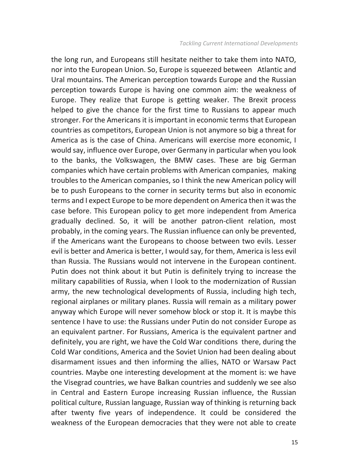the long run, and Europeans still hesitate neither to take them into NATO, nor into the European Union. So, Europe is squeezed between Atlantic and Ural mountains. The American perception towards Europe and the Russian perception towards Europe is having one common aim: the weakness of Europe. They realize that Europe is getting weaker. The Brexit process helped to give the chance for the first time to Russians to appear much stronger. For the Americans it is important in economic terms that European countries as competitors, European Union is not anymore so big a threat for America as is the case of China. Americans will exercise more economic, I would say, influence over Europe, over Germany in particular when you look to the banks, the Volkswagen, the BMW cases. These are big German companies which have certain problems with American companies, making troubles to the American companies, so I think the new American policy will be to push Europeans to the corner in security terms but also in economic terms and I expect Europe to be more dependent on America then it was the case before. This European policy to get more independent from America gradually declined. So, it will be another patron-client relation, most probably, in the coming years. The Russian influence can only be prevented, if the Americans want the Europeans to choose between two evils. Lesser evil is better and America is better, I would say, for them, America is less evil than Russia. The Russians would not intervene in the European continent. Putin does not think about it but Putin is definitely trying to increase the military capabilities of Russia, when I look to the modernization of Russian army, the new technological developments of Russia, including high tech, regional airplanes or military planes. Russia will remain as a military power anyway which Europe will never somehow block or stop it. It is maybe this sentence I have to use: the Russians under Putin do not consider Europe as an equivalent partner. For Russians, America is the equivalent partner and definitely, you are right, we have the Cold War conditions there, during the Cold War conditions, America and the Soviet Union had been dealing about disarmament issues and then informing the allies, NATO or Warsaw Pact countries. Maybe one interesting development at the moment is: we have the Visegrad countries, we have Balkan countries and suddenly we see also in Central and Eastern Europe increasing Russian influence, the Russian political culture, Russian language, Russian way of thinking is returning back after twenty five years of independence. It could be considered the weakness of the European democracies that they were not able to create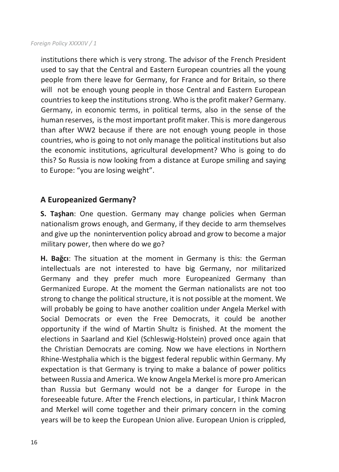institutions there which is very strong. The advisor of the French President used to say that the Central and Eastern European countries all the young people from there leave for Germany, for France and for Britain, so there will not be enough young people in those Central and Eastern European countries to keep the institutions strong. Who is the profit maker? Germany. Germany, in economic terms, in political terms, also in the sense of the human reserves, is the most important profit maker. This is more dangerous than after WW2 because if there are not enough young people in those countries, who is going to not only manage the political institutions but also the economic institutions, agricultural development? Who is going to do this? So Russia is now looking from a distance at Europe smiling and saying to Europe: "you are losing weight".

## **A Europeanized Germany?**

**S. Taşhan**: One question. Germany may change policies when German nationalism grows enough, and Germany, if they decide to arm themselves and give up the nonintervention policy abroad and grow to become a major military power, then where do we go?

**H. Bağcı**: The situation at the moment in Germany is this: the German intellectuals are not interested to have big Germany, nor militarized Germany and they prefer much more Europeanized Germany than Germanized Europe. At the moment the German nationalists are not too strong to change the political structure, it is not possible at the moment. We will probably be going to have another coalition under Angela Merkel with Social Democrats or even the Free Democrats, it could be another opportunity if the wind of Martin Shultz is finished. At the moment the elections in Saarland and Kiel (Schleswig-Holstein) proved once again that the Christian Democrats are coming. Now we have elections in Northern Rhine-Westphalia which is the biggest federal republic within Germany. My expectation is that Germany is trying to make a balance of power politics between Russia and America. We know Angela Merkel is more pro American than Russia but Germany would not be a danger for Europe in the foreseeable future. After the French elections, in particular, I think Macron and Merkel will come together and their primary concern in the coming years will be to keep the European Union alive. European Union is crippled,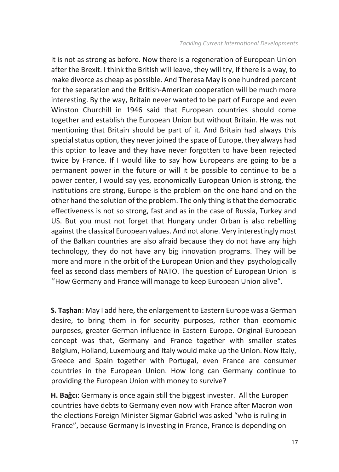it is not as strong as before. Now there is a regeneration of European Union after the Brexit. I think the British will leave, they will try, if there is a way, to make divorce as cheap as possible. And Theresa May is one hundred percent for the separation and the British-American cooperation will be much more interesting. By the way, Britain never wanted to be part of Europe and even Winston Churchill in 1946 said that European countries should come together and establish the European Union but without Britain. He was not mentioning that Britain should be part of it. And Britain had always this special status option, they never joined the space of Europe, they always had this option to leave and they have never forgotten to have been rejected twice by France. If I would like to say how Europeans are going to be a permanent power in the future or will it be possible to continue to be a power center, I would say yes, economically European Union is strong, the institutions are strong, Europe is the problem on the one hand and on the other hand the solution of the problem. The only thing is that the democratic effectiveness is not so strong, fast and as in the case of Russia, Turkey and US. But you must not forget that Hungary under Orban is also rebelling against the classical European values. And not alone. Very interestingly most of the Balkan countries are also afraid because they do not have any high technology, they do not have any big innovation programs. They will be more and more in the orbit of the European Union and they psychologically feel as second class members of NATO. The question of European Union is ''How Germany and France will manage to keep European Union alive".

**S. Taşhan**: May I add here, the enlargement to Eastern Europe was a German desire, to bring them in for security purposes, rather than ecomomic purposes, greater German influence in Eastern Europe. Original European concept was that, Germany and France together with smaller states Belgium, Holland, Luxemburg and Italy would make up the Union. Now Italy, Greece and Spain together with Portugal, even France are consumer countries in the European Union. How long can Germany continue to providing the European Union with money to survive?

**H. Bağcı**: Germany is once again still the biggest invester. All the Europen countries have debts to Germany even now with France after Macron won the elections Foreign Minister Sigmar Gabriel was asked "who is ruling in France", because Germany is investing in France, France is depending on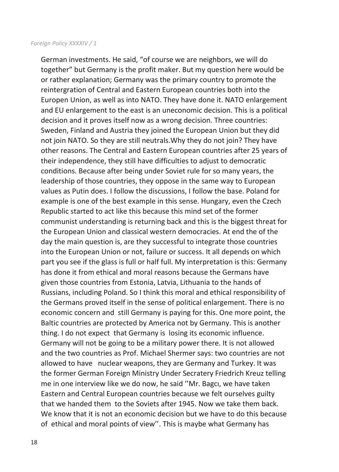#### *Foreign Policy XXXXIV / 1*

German investments. He said, "of course we are neighbors, we will do together" but Germany is the profit maker. But my question here would be or rather explanation; Germany was the primary country to promote the reintergration of Central and Eastern European countries both into the Europen Union, as well as into NATO. They have done it. NATO enlargement and EU enlargement to the east is an uneconomic decision. This is a political decision and it proves itself now as a wrong decision. Three countries: Sweden, Finland and Austria they joined the European Union but they did not join NATO. So they are still neutrals.Why they do not join? They have other reasons. The Central and Eastern European countries after 25 years of their independence, they still have difficulties to adjust to democratic conditions. Because after being under Soviet rule for so many years, the leadership of those countries, they oppose in the same way to European values as Putin does. I follow the discussions, I follow the base. Poland for example is one of the best example in this sense. Hungary, even the Czech Republic started to act like this because this mind set of the former communist understanding is returning back and this is the biggest threat for the European Union and classical western democracies. At end the of the day the main question is, are they successful to integrate those countries into the European Union or not, failure or success. It all depends on which part you see if the glass is full or half full. My interpretation is this: Germany has done it from ethical and moral reasons because the Germans have given those countries from Estonia, Latvia, Lithuania to the hands of Russians, including Poland. So I think this moral and ethical responsibility of the Germans proved itself in the sense of political enlargement. There is no economic concern and still Germany is paying for this. One more point, the Baltic countries are protected by America not by Germany. This is another thing. I do not expect that Germany is losing its economic influence. Germany will not be going to be a military power there. It is not allowed and the two countries as Prof. Michael Shermer says: two countries are not allowed to have nuclear weapons, they are Germany and Turkey. It was the former German Foreign Ministry Under Secratery Friedrich Kreuz telling me in one interview like we do now, he said ''Mr. Bagcı, we have taken Eastern and Central European countries because we felt ourselves guilty that we handed them to the Soviets after 1945. Now we take them back. We know that it is not an economic decision but we have to do this because of ethical and moral points of view''. This is maybe what Germany has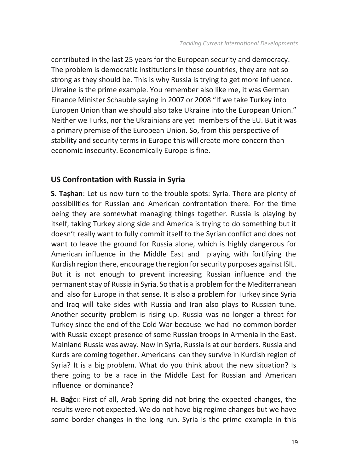contributed in the last 25 years for the European security and democracy. The problem is democratic institutions in those countries, they are not so strong as they should be. This is why Russia is trying to get more influence. Ukraine is the prime example. You remember also like me, it was German Finance Minister Schauble saying in 2007 or 2008 "If we take Turkey into Europen Union than we should also take Ukraine into the European Union." Neither we Turks, nor the Ukrainians are yet members of the EU. But it was a primary premise of the European Union. So, from this perspective of stability and security terms in Europe this will create more concern than economic insecurity. Economically Europe is fine.

## **US Confrontation with Russia in Syria**

**S. Taşhan**: Let us now turn to the trouble spots: Syria. There are plenty of possibilities for Russian and American confrontation there. For the time being they are somewhat managing things together. Russia is playing by itself, taking Turkey along side and America is trying to do something but it doesn't really want to fully commit itself to the Syrian conflict and does not want to leave the ground for Russia alone, which is highly dangerous for American influence in the Middle East and playing with fortifying the Kurdish region there, encourage the region for security purposes against ISIL. But it is not enough to prevent increasing Russian influence and the permanent stay of Russia in Syria. So that is a problem for the Mediterranean and also for Europe in that sense. It is also a problem for Turkey since Syria and Iraq will take sides with Russia and Iran also plays to Russian tune. Another security problem is rising up. Russia was no longer a threat for Turkey since the end of the Cold War because we had no common border with Russia except presence of some Russian troops in Armenia in the East. Mainland Russia was away. Now in Syria, Russia is at our borders. Russia and Kurds are coming together. Americans can they survive in Kurdish region of Syria? It is a big problem. What do you think about the new situation? Is there going to be a race in the Middle East for Russian and American influence or dominance?

**H. Bağc**ı: First of all, Arab Spring did not bring the expected changes, the results were not expected. We do not have big regime changes but we have some border changes in the long run. Syria is the prime example in this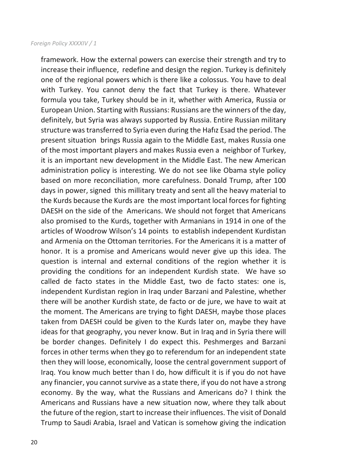#### *Foreign Policy XXXXIV / 1*

framework. How the external powers can exercise their strength and try to increase their influence, redefine and design the region. Turkey is definitely one of the regional powers which is there like a colossus. You have to deal with Turkey. You cannot deny the fact that Turkey is there. Whatever formula you take, Turkey should be in it, whether with America, Russia or European Union. Starting with Russians: Russians are the winners of the day, definitely, but Syria was always supported by Russia. Entire Russian military structure was transferred to Syria even during the Hafız Esad the period. The present situation brings Russia again to the Middle East, makes Russia one of the most important players and makes Russia even a neighbor of Turkey, it is an important new development in the Middle East. The new American administration policy is interesting. We do not see like Obama style policy based on more reconciliation, more carefulness. Donald Trump, after 100 days in power, signed this millitary treaty and sent all the heavy material to the Kurds because the Kurds are the most important local forces for fighting DAESH on the side of the Americans. We should not forget that Americans also promised to the Kurds, together with Armanians in 1914 in one of the articles of Woodrow Wilson's 14 points to establish independent Kurdistan and Armenia on the Ottoman territories. For the Americans it is a matter of honor. It is a promise and Americans would never give up this idea. The question is internal and external conditions of the region whether it is providing the conditions for an independent Kurdish state. We have so called de facto states in the Middle East, two de facto states: one is, independent Kurdistan region in Iraq under Barzani and Palestine, whether there will be another Kurdish state, de facto or de jure, we have to wait at the moment. The Americans are trying to fight DAESH, maybe those places taken from DAESH could be given to the Kurds later on, maybe they have ideas for that geography, you never know. But in Iraq and in Syria there will be border changes. Definitely I do expect this. Peshmerges and Barzani forces in other terms when they go to referendum for an independent state then they will loose, economically, loose the central government support of Iraq. You know much better than I do, how difficult it is if you do not have any financier, you cannot survive as a state there, if you do not have a strong economy. By the way, what the Russians and Americans do? I think the Americans and Russians have a new situation now, where they talk about the future of the region, start to increase their influences. The visit of Donald Trump to Saudi Arabia, Israel and Vatican is somehow giving the indication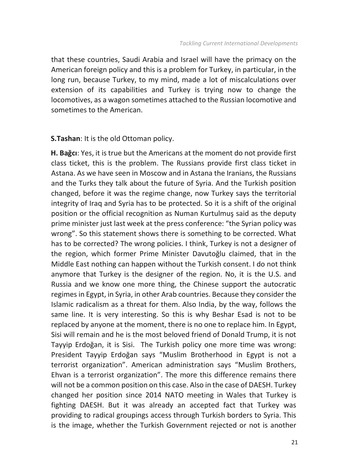that these countries, Saudi Arabia and Israel will have the primacy on the American foreign policy and this is a problem for Turkey, in particular, in the long run, because Turkey, to my mind, made a lot of miscalculations over extension of its capabilities and Turkey is trying now to change the locomotives, as a wagon sometimes attached to the Russian locomotive and sometimes to the American.

### **S.Tashan**: It is the old Ottoman policy.

**H. Bağcı**: Yes, it is true but the Americans at the moment do not provide first class ticket, this is the problem. The Russians provide first class ticket in Astana. As we have seen in Moscow and in Astana the Iranians, the Russians and the Turks they talk about the future of Syria. And the Turkish position changed, before it was the regime change, now Turkey says the territorial integrity of Iraq and Syria has to be protected. So it is a shift of the original position or the official recognition as Numan Kurtulmuş said as the deputy prime minister just last week at the press conference: "the Syrian policy was wrong". So this statement shows there is something to be corrected. What has to be corrected? The wrong policies. I think, Turkey is not a designer of the region, which former Prime Minister Davutoğlu claimed, that in the Middle East nothing can happen without the Turkish consent. I do not think anymore that Turkey is the designer of the region. No, it is the U.S. and Russia and we know one more thing, the Chinese support the autocratic regimes in Egypt, in Syria, in other Arab countries. Because they consider the Islamic radicalism as a threat for them. Also India, by the way, follows the same line. It is very interesting. So this is why Beshar Esad is not to be replaced by anyone at the moment, there is no one to replace him. In Egypt, Sisi will remain and he is the most beloved friend of Donald Trump, it is not Tayyip Erdoğan, it is Sisi. The Turkish policy one more time was wrong: President Tayyip Erdoğan says "Muslim Brotherhood in Egypt is not a terrorist organization". American administration says "Muslim Brothers, Ehvan is a terrorist organization". The more this difference remains there will not be a common position on this case. Also in the case of DAESH. Turkey changed her position since 2014 NATO meeting in Wales that Turkey is fighting DAESH. But it was already an accepted fact that Turkey was providing to radical groupings access through Turkish borders to Syria. This is the image, whether the Turkish Government rejected or not is another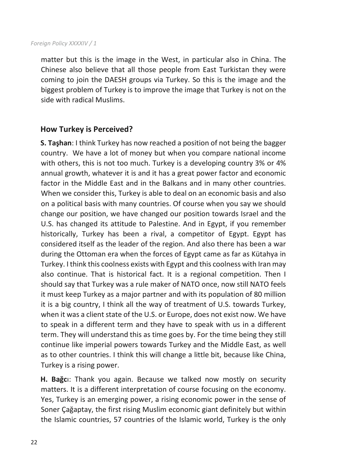#### *Foreign Policy XXXXIV / 1*

matter but this is the image in the West, in particular also in China. The Chinese also believe that all those people from East Turkistan they were coming to join the DAESH groups via Turkey. So this is the image and the biggest problem of Turkey is to improve the image that Turkey is not on the side with radical Muslims.

### **How Turkey is Perceived?**

**S. Taşhan**: I think Turkey has now reached a position of not being the bagger country. We have a lot of money but when you compare national income with others, this is not too much. Turkey is a developing country 3% or 4% annual growth, whatever it is and it has a great power factor and economic factor in the Middle East and in the Balkans and in many other countries. When we consider this, Turkey is able to deal on an economic basis and also on a political basis with many countries. Of course when you say we should change our position, we have changed our position towards Israel and the U.S. has changed its attitude to Palestine. And in Egypt, if you remember historically, Turkey has been a rival, a competitor of Egypt. Egypt has considered itself as the leader of the region. And also there has been a war during the Ottoman era when the forces of Egypt came as far as Kütahya in Turkey. I think this coolness exists with Egypt and this coolness with Iran may also continue. That is historical fact. It is a regional competition. Then I should say that Turkey was a rule maker of NATO once, now still NATO feels it must keep Turkey as a major partner and with its population of 80 million it is a big country, I think all the way of treatment of U.S. towards Turkey, when it was a client state of the U.S. or Europe, does not exist now. We have to speak in a different term and they have to speak with us in a different term. They will understand this as time goes by. For the time being they still continue like imperial powers towards Turkey and the Middle East, as well as to other countries. I think this will change a little bit, because like China, Turkey is a rising power.

**H. Bağc**ı: Thank you again. Because we talked now mostly on security matters. It is a different interpretation of course focusing on the economy. Yes, Turkey is an emerging power, a rising economic power in the sense of Soner Çağaptay, the first rising Muslim economic giant definitely but within the Islamic countries, 57 countries of the Islamic world, Turkey is the only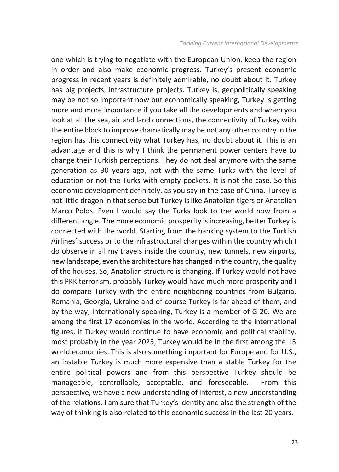one which is trying to negotiate with the European Union, keep the region in order and also make economic progress. Turkey's present economic progress in recent years is definitely admirable, no doubt about it. Turkey has big projects, infrastructure projects. Turkey is, geopolitically speaking may be not so important now but economically speaking, Turkey is getting more and more importance if you take all the developments and when you look at all the sea, air and land connections, the connectivity of Turkey with the entire block to improve dramatically may be not any other country in the region has this connectivity what Turkey has, no doubt about it. This is an advantage and this is why I think the permanent power centers have to change their Turkish perceptions. They do not deal anymore with the same generation as 30 years ago, not with the same Turks with the level of education or not the Turks with empty pockets. It is not the case. So this economic development definitely, as you say in the case of China, Turkey is not little dragon in that sense but Turkey is like Anatolian tigers or Anatolian Marco Polos. Even I would say the Turks look to the world now from a different angle. The more economic prosperity is increasing, better Turkey is connected with the world. Starting from the banking system to the Turkish Airlines' success or to the infrastructural changes within the country which I do observe in all my travels inside the country, new tunnels, new airports, new landscape, even the architecture has changed in the country, the quality of the houses. So, Anatolian structure is changing. If Turkey would not have this PKK terrorism, probably Turkey would have much more prosperity and I do compare Turkey with the entire neighboring countries from Bulgaria, Romania, Georgia, Ukraine and of course Turkey is far ahead of them, and by the way, internationally speaking, Turkey is a member of G-20. We are among the first 17 economies in the world. According to the international figures, if Turkey would continue to have economic and political stability, most probably in the year 2025, Turkey would be in the first among the 15 world economies. This is also something important for Europe and for U.S., an instable Turkey is much more expensive than a stable Turkey for the entire political powers and from this perspective Turkey should be manageable, controllable, acceptable, and foreseeable. From this perspective, we have a new understanding of interest, a new understanding of the relations. I am sure that Turkey's identity and also the strength of the way of thinking is also related to this economic success in the last 20 years.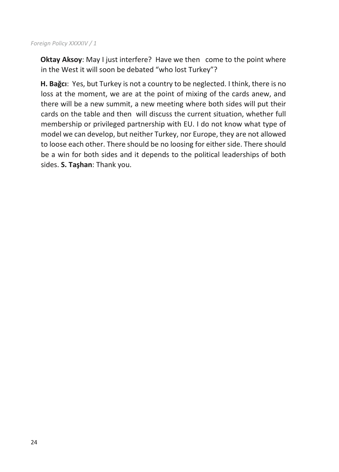#### *Foreign Policy XXXXIV / 1*

**Oktay Aksoy**: May I just interfere? Have we then come to the point where in the West it will soon be debated "who lost Turkey"?

**H. Bağcı**: Yes, but Turkey is not a country to be neglected. I think, there is no loss at the moment, we are at the point of mixing of the cards anew, and there will be a new summit, a new meeting where both sides will put their cards on the table and then will discuss the current situation, whether full membership or privileged partnership with EU. I do not know what type of model we can develop, but neither Turkey, nor Europe, they are not allowed to loose each other. There should be no loosing for either side. There should be a win for both sides and it depends to the political leaderships of both sides. **S. Taşhan**: Thank you.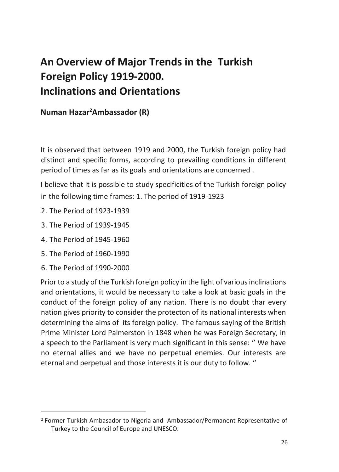## **An Overview of Major Trends in the Turkish Foreign Policy 1919-2000. Inclinations and Orientations**

**Numan Hazar<sup>2</sup>Ambassador (R)**

It is observed that between 1919 and 2000, the Turkish foreign policy had distinct and specific forms, according to prevailing conditions in different period of times as far as its goals and orientations are concerned .

I believe that it is possible to study specificities of the Turkish foreign policy in the following time frames: 1. The period of 1919-1923

- 2. The Period of 1923-1939
- 3. The Period of 1939-1945
- 4. The Period of 1945-1960
- 5. The Period of 1960-1990
- 6. The Period of 1990-2000

 $\overline{a}$ 

Prior to a study of the Turkish foreign policy in the light of various inclinations and orientations, it would be necessary to take a look at basic goals in the conduct of the foreign policy of any nation. There is no doubt thar every nation gives priority to consider the protecton of its national interests when determining the aims of its foreign policy. The famous saying of the British Prime Minister Lord Palmerston in 1848 when he was Foreign Secretary, in a speech to the Parliament is very much significant in this sense: '' We have no eternal allies and we have no perpetual enemies. Our interests are eternal and perpetual and those interests it is our duty to follow. ''

<sup>2</sup> Former Turkish Ambasador to Nigeria and Ambassador/Permanent Representative of Turkey to the Council of Europe and UNESCO.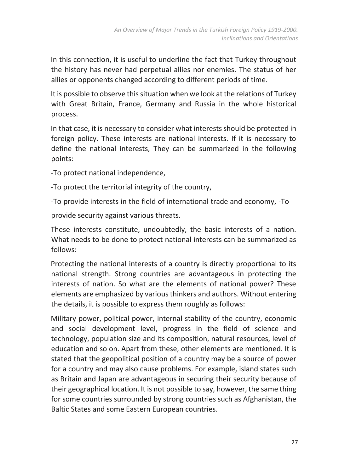In this connection, it is useful to underline the fact that Turkey throughout the history has never had perpetual allies nor enemies. The status of her allies or opponents changed according to different periods of time.

It is possible to observe this situation when we look at the relations of Turkey with Great Britain, France, Germany and Russia in the whole historical process.

In that case, it is necessary to consider what interests should be protected in foreign policy. These interests are national interests. If it is necessary to define the national interests, They can be summarized in the following points:

-To protect national independence,

-To protect the territorial integrity of the country,

-To provide interests in the field of international trade and economy, -To

provide security against various threats.

These interests constitute, undoubtedly, the basic interests of a nation. What needs to be done to protect national interests can be summarized as follows:

Protecting the national interests of a country is directly proportional to its national strength. Strong countries are advantageous in protecting the interests of nation. So what are the elements of national power? These elements are emphasized by various thinkers and authors. Without entering the details, it is possible to express them roughly as follows:

Military power, political power, internal stability of the country, economic and social development level, progress in the field of science and technology, population size and its composition, natural resources, level of education and so on. Apart from these, other elements are mentioned. It is stated that the geopolitical position of a country may be a source of power for a country and may also cause problems. For example, island states such as Britain and Japan are advantageous in securing their security because of their geographical location. It is not possible to say, however, the same thing for some countries surrounded by strong countries such as Afghanistan, the Baltic States and some Eastern European countries.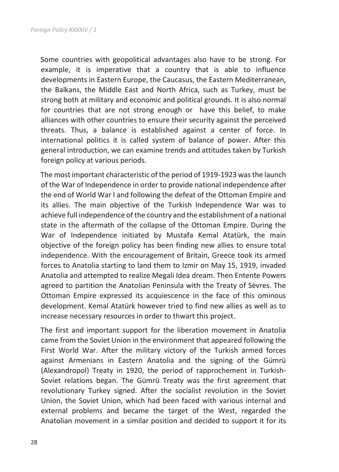Some countries with geopolitical advantages also have to be strong. For example, it is imperative that a country that is able to influence developments in Eastern Europe, the Caucasus, the Eastern Mediterranean, the Balkans, the Middle East and North Africa, such as Turkey, must be strong both at military and economic and political grounds. It is also normal for countries that are not strong enough or have this belief, to make alliances with other countries to ensure their security against the perceived threats. Thus, a balance is established against a center of force. In international politics it is called system of balance of power. After this general introduction, we can examine trends and attitudes taken by Turkish foreign policy at various periods.

The most important characteristic of the period of 1919-1923 was the launch of the War of Independence in order to provide national independence after the end of World War I and following the defeat of the Ottoman Empire and its allies. The main objective of the Turkish Independence War was to achieve full independence of the country and the establishment of a national state in the aftermath of the collapse of the Ottoman Empire. During the War of Independence initiated by Mustafa Kemal Atatürk, the main objective of the foreign policy has been finding new allies to ensure total independence. With the encouragement of Britain, Greece took its armed forces to Anatolia starting to land them to Izmir on May 15, 1919, invaded Anatolia and attempted to realize Megali Idea dream. Then Entente Powers agreed to partition the Anatolian Peninsula with the Treaty of Sèvres. The Ottoman Empire expressed its acquiescence in the face of this ominous development. Kemal Atatürk however tried to find new allies as well as to increase necessary resources in order to thwart this project.

The first and important support for the liberation movement in Anatolia came from the Soviet Union in the environment that appeared following the First World War. After the military victory of the Turkish armed forces against Armenians in Eastern Anatolia and the signing of the Gümrü (Alexandropol) Treaty in 1920, the period of rapprochement in Turkish-Soviet relations began. The Gümrü Treaty was the first agreement that revolutionary Turkey signed. After the socialist revolution in the Soviet Union, the Soviet Union, which had been faced with various internal and external problems and became the target of the West, regarded the Anatolian movement in a similar position and decided to support it for its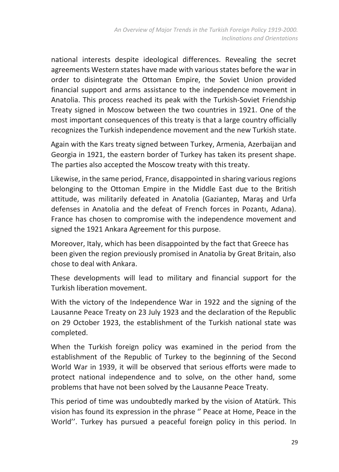national interests despite ideological differences. Revealing the secret agreements Western states have made with various states before the war in order to disintegrate the Ottoman Empire, the Soviet Union provided financial support and arms assistance to the independence movement in Anatolia. This process reached its peak with the Turkish-Soviet Friendship Treaty signed in Moscow between the two countries in 1921. One of the most important consequences of this treaty is that a large country officially recognizes the Turkish independence movement and the new Turkish state.

Again with the Kars treaty signed between Turkey, Armenia, Azerbaijan and Georgia in 1921, the eastern border of Turkey has taken its present shape. The parties also accepted the Moscow treaty with this treaty.

Likewise, in the same period, France, disappointed in sharing various regions belonging to the Ottoman Empire in the Middle East due to the British attitude, was militarily defeated in Anatolia (Gaziantep, Maraş and Urfa defenses in Anatolia and the defeat of French forces in Pozantı, Adana). France has chosen to compromise with the independence movement and signed the 1921 Ankara Agreement for this purpose.

Moreover, Italy, which has been disappointed by the fact that Greece has been given the region previously promised in Anatolia by Great Britain, also chose to deal with Ankara.

These developments will lead to military and financial support for the Turkish liberation movement.

With the victory of the Independence War in 1922 and the signing of the Lausanne Peace Treaty on 23 July 1923 and the declaration of the Republic on 29 October 1923, the establishment of the Turkish national state was completed.

When the Turkish foreign policy was examined in the period from the establishment of the Republic of Turkey to the beginning of the Second World War in 1939, it will be observed that serious efforts were made to protect national independence and to solve, on the other hand, some problems that have not been solved by the Lausanne Peace Treaty.

This period of time was undoubtedly marked by the vision of Atatürk. This vision has found its expression in the phrase '' Peace at Home, Peace in the World''. Turkey has pursued a peaceful foreign policy in this period. In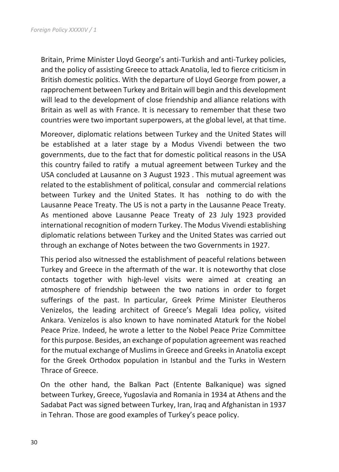Britain, Prime Minister Lloyd George's anti-Turkish and anti-Turkey policies, and the policy of assisting Greece to attack Anatolia, led to fierce criticism in British domestic politics. With the departure of Lloyd George from power, a rapprochement between Turkey and Britain will begin and this development will lead to the development of close friendship and alliance relations with Britain as well as with France. It is necessary to remember that these two countries were two important superpowers, at the global level, at that time.

Moreover, diplomatic relations between Turkey and the United States will be established at a later stage by a Modus Vivendi between the two governments, due to the fact that for domestic political reasons in the USA this country failed to ratify a mutual agreement between Turkey and the USA concluded at Lausanne on 3 August 1923 . This mutual agreement was related to the establishment of political, consular and commercial relations between Turkey and the United States. It has nothing to do with the Lausanne Peace Treaty. The US is not a party in the Lausanne Peace Treaty. As mentioned above Lausanne Peace Treaty of 23 July 1923 provided international recognition of modern Turkey. The Modus Vivendi establishing diplomatic relations between Turkey and the United States was carried out through an exchange of Notes between the two Governments in 1927.

This period also witnessed the establishment of peaceful relations between Turkey and Greece in the aftermath of the war. It is noteworthy that close contacts together with high-level visits were aimed at creating an atmosphere of friendship between the two nations in order to forget sufferings of the past. In particular, Greek Prime Minister Eleutheros Venizelos, the leading architect of Greece's Megali Idea policy, visited Ankara. Venizelos is also known to have nominated Ataturk for the Nobel Peace Prize. Indeed, he wrote a letter to the Nobel Peace Prize Committee for this purpose. Besides, an exchange of population agreement was reached for the mutual exchange of Muslims in Greece and Greeks in Anatolia except for the Greek Orthodox population in Istanbul and the Turks in Western Thrace of Greece.

On the other hand, the Balkan Pact (Entente Balkanique) was signed between Turkey, Greece, Yugoslavia and Romania in 1934 at Athens and the Sadabat Pact was signed between Turkey, Iran, Iraq and Afghanistan in 1937 in Tehran. Those are good examples of Turkey's peace policy.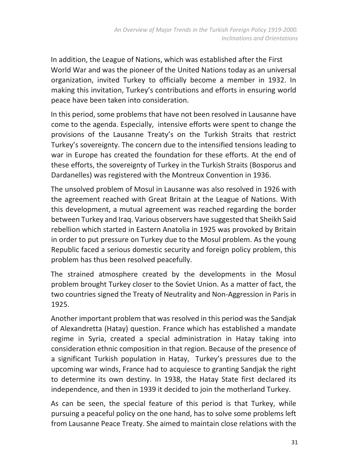In addition, the League of Nations, which was established after the First World War and was the pioneer of the United Nations today as an universal organization, invited Turkey to officially become a member in 1932. In making this invitation, Turkey's contributions and efforts in ensuring world peace have been taken into consideration.

In this period, some problems that have not been resolved in Lausanne have come to the agenda. Especially, intensive efforts were spent to change the provisions of the Lausanne Treaty's on the Turkish Straits that restrict Turkey's sovereignty. The concern due to the intensified tensions leading to war in Europe has created the foundation for these efforts. At the end of these efforts, the sovereignty of Turkey in the Turkish Straits (Bosporus and Dardanelles) was registered with the Montreux Convention in 1936.

The unsolved problem of Mosul in Lausanne was also resolved in 1926 with the agreement reached with Great Britain at the League of Nations. With this development, a mutual agreement was reached regarding the border between Turkey and Iraq. Various observers have suggested that Sheikh Said rebellion which started in Eastern Anatolia in 1925 was provoked by Britain in order to put pressure on Turkey due to the Mosul problem. As the young Republic faced a serious domestic security and foreign policy problem, this problem has thus been resolved peacefully.

The strained atmosphere created by the developments in the Mosul problem brought Turkey closer to the Soviet Union. As a matter of fact, the two countries signed the Treaty of Neutrality and Non-Aggression in Paris in 1925.

Another important problem that was resolved in this period was the Sandjak of Alexandretta (Hatay) question. France which has established a mandate regime in Syria, created a special administration in Hatay taking into consideration ethnic composition in that region. Because of the presence of a significant Turkish population in Hatay, Turkey's pressures due to the upcoming war winds, France had to acquiesce to granting Sandjak the right to determine its own destiny. In 1938, the Hatay State first declared its independence, and then in 1939 it decided to join the motherland Turkey.

As can be seen, the special feature of this period is that Turkey, while pursuing a peaceful policy on the one hand, has to solve some problems left from Lausanne Peace Treaty. She aimed to maintain close relations with the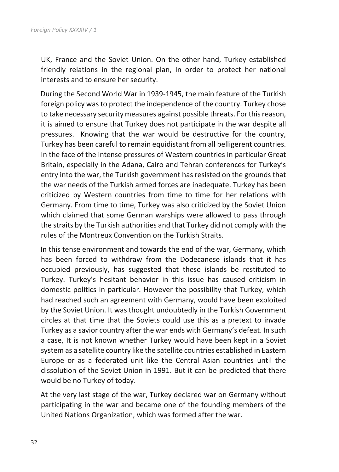UK, France and the Soviet Union. On the other hand, Turkey established friendly relations in the regional plan, In order to protect her national interests and to ensure her security.

During the Second World War in 1939-1945, the main feature of the Turkish foreign policy was to protect the independence of the country. Turkey chose to take necessary security measures against possible threats. For this reason, it is aimed to ensure that Turkey does not participate in the war despite all pressures. Knowing that the war would be destructive for the country, Turkey has been careful to remain equidistant from all belligerent countries. In the face of the intense pressures of Western countries in particular Great Britain, especially in the Adana, Cairo and Tehran conferences for Turkey's entry into the war, the Turkish government has resisted on the grounds that the war needs of the Turkish armed forces are inadequate. Turkey has been criticized by Western countries from time to time for her relations with Germany. From time to time, Turkey was also criticized by the Soviet Union which claimed that some German warships were allowed to pass through the straits by the Turkish authorities and that Turkey did not comply with the rules of the Montreux Convention on the Turkish Straits.

In this tense environment and towards the end of the war, Germany, which has been forced to withdraw from the Dodecanese islands that it has occupied previously, has suggested that these islands be restituted to Turkey. Turkey's hesitant behavior in this issue has caused criticism in domestic politics in particular. However the possibility that Turkey, which had reached such an agreement with Germany, would have been exploited by the Soviet Union. It was thought undoubtedly in the Turkish Government circles at that time that the Soviets could use this as a pretext to invade Turkey as a savior country after the war ends with Germany's defeat. In such a case, It is not known whether Turkey would have been kept in a Soviet system as a satellite country like the satellite countries established in Eastern Europe or as a federated unit like the Central Asian countries until the dissolution of the Soviet Union in 1991. But it can be predicted that there would be no Turkey of today.

At the very last stage of the war, Turkey declared war on Germany without participating in the war and became one of the founding members of the United Nations Organization, which was formed after the war.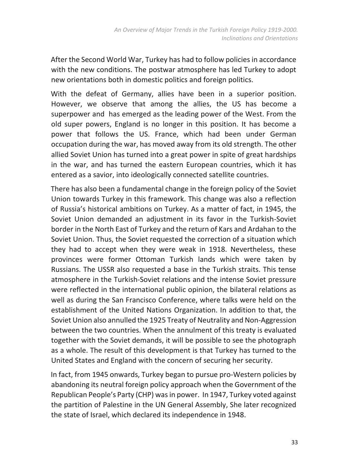After the Second World War, Turkey has had to follow policies in accordance with the new conditions. The postwar atmosphere has led Turkey to adopt new orientations both in domestic politics and foreign politics.

With the defeat of Germany, allies have been in a superior position. However, we observe that among the allies, the US has become a superpower and has emerged as the leading power of the West. From the old super powers, England is no longer in this position. It has become a power that follows the US. France, which had been under German occupation during the war, has moved away from its old strength. The other allied Soviet Union has turned into a great power in spite of great hardships in the war, and has turned the eastern European countries, which it has entered as a savior, into ideologically connected satellite countries.

There has also been a fundamental change in the foreign policy of the Soviet Union towards Turkey in this framework. This change was also a reflection of Russia's historical ambitions on Turkey. As a matter of fact, in 1945, the Soviet Union demanded an adjustment in its favor in the Turkish-Soviet border in the North East of Turkey and the return of Kars and Ardahan to the Soviet Union. Thus, the Soviet requested the correction of a situation which they had to accept when they were weak in 1918. Nevertheless, these provinces were former Ottoman Turkish lands which were taken by Russians. The USSR also requested a base in the Turkish straits. This tense atmosphere in the Turkish-Soviet relations and the intense Soviet pressure were reflected in the international public opinion, the bilateral relations as well as during the San Francisco Conference, where talks were held on the establishment of the United Nations Organization. In addition to that, the Soviet Union also annulled the 1925 Treaty of Neutrality and Non-Aggression between the two countries. When the annulment of this treaty is evaluated together with the Soviet demands, it will be possible to see the photograph as a whole. The result of this development is that Turkey has turned to the United States and England with the concern of securing her security.

In fact, from 1945 onwards, Turkey began to pursue pro-Western policies by abandoning its neutral foreign policy approach when the Government of the Republican People's Party (CHP) was in power. In 1947, Turkey voted against the partition of Palestine in the UN General Assembly, She later recognized the state of Israel, which declared its independence in 1948.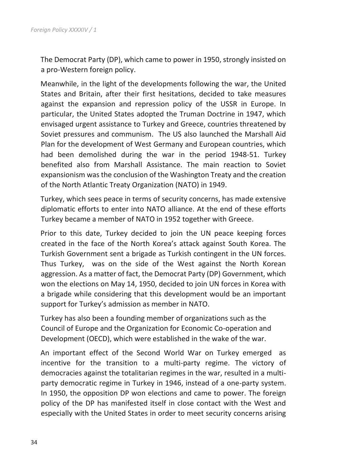The Democrat Party (DP), which came to power in 1950, strongly insisted on a pro-Western foreign policy.

Meanwhile, in the light of the developments following the war, the United States and Britain, after their first hesitations, decided to take measures against the expansion and repression policy of the USSR in Europe. In particular, the United States adopted the Truman Doctrine in 1947, which envisaged urgent assistance to Turkey and Greece, countries threatened by Soviet pressures and communism. The US also launched the Marshall Aid Plan for the development of West Germany and European countries, which had been demolished during the war in the period 1948-51. Turkey benefited also from Marshall Assistance. The main reaction to Soviet expansionism was the conclusion of the Washington Treaty and the creation of the North Atlantic Treaty Organization (NATO) in 1949.

Turkey, which sees peace in terms of security concerns, has made extensive diplomatic efforts to enter into NATO alliance. At the end of these efforts Turkey became a member of NATO in 1952 together with Greece.

Prior to this date, Turkey decided to join the UN peace keeping forces created in the face of the North Korea's attack against South Korea. The Turkish Government sent a brigade as Turkish contingent in the UN forces. Thus Turkey, was on the side of the West against the North Korean aggression. As a matter of fact, the Democrat Party (DP) Government, which won the elections on May 14, 1950, decided to join UN forces in Korea with a brigade while considering that this development would be an important support for Turkey's admission as member in NATO.

Turkey has also been a founding member of organizations such as the Council of Europe and the Organization for Economic Co-operation and Development (OECD), which were established in the wake of the war.

An important effect of the Second World War on Turkey emerged as incentive for the transition to a multi-party regime. The victory of democracies against the totalitarian regimes in the war, resulted in a multiparty democratic regime in Turkey in 1946, instead of a one-party system. In 1950, the opposition DP won elections and came to power. The foreign policy of the DP has manifested itself in close contact with the West and especially with the United States in order to meet security concerns arising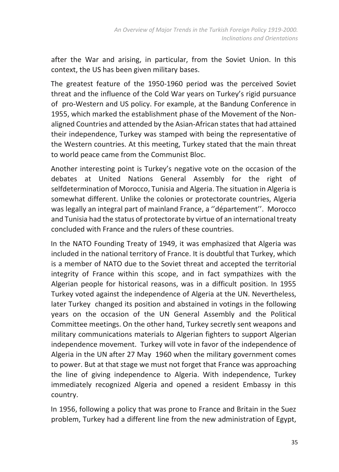after the War and arising, in particular, from the Soviet Union. In this context, the US has been given military bases.

The greatest feature of the 1950-1960 period was the perceived Soviet threat and the influence of the Cold War years on Turkey's rigid pursuance of pro-Western and US policy. For example, at the Bandung Conference in 1955, which marked the establishment phase of the Movement of the Nonaligned Countries and attended by the Asian-African states that had attained their independence, Turkey was stamped with being the representative of the Western countries. At this meeting, Turkey stated that the main threat to world peace came from the Communist Bloc.

Another interesting point is Turkey's negative vote on the occasion of the debates at United Nations General Assembly for the right of selfdetermination of Morocco, Tunisia and Algeria. The situation in Algeria is somewhat different. Unlike the colonies or protectorate countries, Algeria was legally an integral part of mainland France, a ''département''. Morocco and Tunisia had the status of protectorate by virtue of an international treaty concluded with France and the rulers of these countries.

In the NATO Founding Treaty of 1949, it was emphasized that Algeria was included in the national territory of France. It is doubtful that Turkey, which is a member of NATO due to the Soviet threat and accepted the territorial integrity of France within this scope, and in fact sympathizes with the Algerian people for historical reasons, was in a difficult position. In 1955 Turkey voted against the independence of Algeria at the UN. Nevertheless, later Turkey changed its position and abstained in votings in the following years on the occasion of the UN General Assembly and the Political Committee meetings. On the other hand, Turkey secretly sent weapons and military communications materials to Algerian fighters to support Algerian independence movement. Turkey will vote in favor of the independence of Algeria in the UN after 27 May 1960 when the military government comes to power. But at that stage we must not forget that France was approaching the line of giving independence to Algeria. With independence, Turkey immediately recognized Algeria and opened a resident Embassy in this country.

In 1956, following a policy that was prone to France and Britain in the Suez problem, Turkey had a different line from the new administration of Egypt,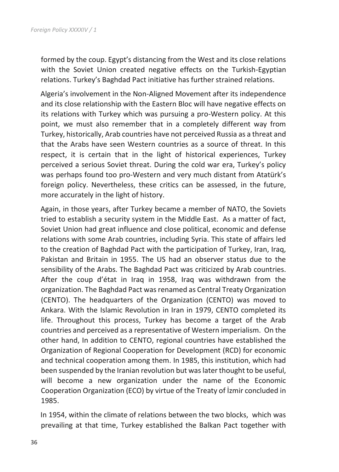formed by the coup. Egypt's distancing from the West and its close relations with the Soviet Union created negative effects on the Turkish-Egyptian relations. Turkey's Baghdad Pact initiative has further strained relations.

Algeria's involvement in the Non-Aligned Movement after its independence and its close relationship with the Eastern Bloc will have negative effects on its relations with Turkey which was pursuing a pro-Western policy. At this point, we must also remember that in a completely different way from Turkey, historically, Arab countries have not perceived Russia as a threat and that the Arabs have seen Western countries as a source of threat. In this respect, it is certain that in the light of historical experiences, Turkey perceived a serious Soviet threat. During the cold war era, Turkey's policy was perhaps found too pro-Western and very much distant from Atatürk's foreign policy. Nevertheless, these critics can be assessed, in the future, more accurately in the light of history.

Again, in those years, after Turkey became a member of NATO, the Soviets tried to establish a security system in the Middle East. As a matter of fact, Soviet Union had great influence and close political, economic and defense relations with some Arab countries, including Syria. This state of affairs led to the creation of Baghdad Pact with the participation of Turkey, Iran, Iraq, Pakistan and Britain in 1955. The US had an observer status due to the sensibility of the Arabs. The Baghdad Pact was criticized by Arab countries. After the coup d'état in Iraq in 1958, Iraq was withdrawn from the organization. The Baghdad Pact was renamed as Central Treaty Organization (CENTO). The headquarters of the Organization (CENTO) was moved to Ankara. With the Islamic Revolution in Iran in 1979, CENTO completed its life. Throughout this process, Turkey has become a target of the Arab countries and perceived as a representative of Western imperialism. On the other hand, In addition to CENTO, regional countries have established the Organization of Regional Cooperation for Development (RCD) for economic and technical cooperation among them. In 1985, this institution, which had been suspended by the Iranian revolution but was later thought to be useful, will become a new organization under the name of the Economic Cooperation Organization (ECO) by virtue of the Treaty of İzmir concluded in 1985.

In 1954, within the climate of relations between the two blocks, which was prevailing at that time, Turkey established the Balkan Pact together with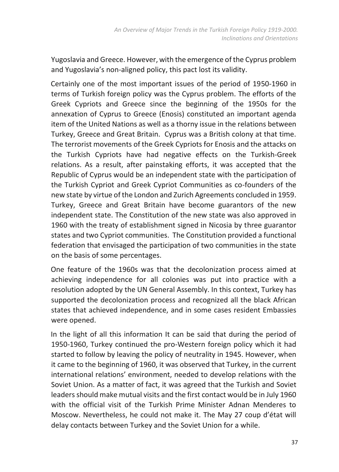Yugoslavia and Greece. However, with the emergence of the Cyprus problem and Yugoslavia's non-aligned policy, this pact lost its validity.

Certainly one of the most important issues of the period of 1950-1960 in terms of Turkish foreign policy was the Cyprus problem. The efforts of the Greek Cypriots and Greece since the beginning of the 1950s for the annexation of Cyprus to Greece (Enosis) constituted an important agenda item of the United Nations as well as a thorny issue in the relations between Turkey, Greece and Great Britain. Cyprus was a British colony at that time. The terrorist movements of the Greek Cypriots for Enosis and the attacks on the Turkish Cypriots have had negative effects on the Turkish-Greek relations. As a result, after painstaking efforts, it was accepted that the Republic of Cyprus would be an independent state with the participation of the Turkish Cypriot and Greek Cypriot Communities as co-founders of the new state by virtue of the London and Zurich Agreements concluded in 1959. Turkey, Greece and Great Britain have become guarantors of the new independent state. The Constitution of the new state was also approved in 1960 with the treaty of establishment signed in Nicosia by three guarantor states and two Cypriot communities. The Constitution provided a functional federation that envisaged the participation of two communities in the state on the basis of some percentages.

One feature of the 1960s was that the decolonization process aimed at achieving independence for all colonies was put into practice with a resolution adopted by the UN General Assembly. In this context, Turkey has supported the decolonization process and recognized all the black African states that achieved independence, and in some cases resident Embassies were opened.

In the light of all this information It can be said that during the period of 1950-1960, Turkey continued the pro-Western foreign policy which it had started to follow by leaving the policy of neutrality in 1945. However, when it came to the beginning of 1960, it was observed that Turkey, in the current international relations' environment, needed to develop relations with the Soviet Union. As a matter of fact, it was agreed that the Turkish and Soviet leaders should make mutual visits and the first contact would be in July 1960 with the official visit of the Turkish Prime Minister Adnan Menderes to Moscow. Nevertheless, he could not make it. The May 27 coup d'état will delay contacts between Turkey and the Soviet Union for a while.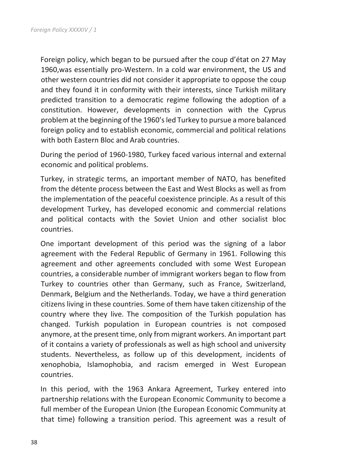Foreign policy, which began to be pursued after the coup d'état on 27 May 1960,was essentially pro-Western. In a cold war environment, the US and other western countries did not consider it appropriate to oppose the coup and they found it in conformity with their interests, since Turkish military predicted transition to a democratic regime following the adoption of a constitution. However, developments in connection with the Cyprus problem at the beginning of the 1960's led Turkey to pursue a more balanced foreign policy and to establish economic, commercial and political relations with both Eastern Bloc and Arab countries.

During the period of 1960-1980, Turkey faced various internal and external economic and political problems.

Turkey, in strategic terms, an important member of NATO, has benefited from the détente process between the East and West Blocks as well as from the implementation of the peaceful coexistence principle. As a result of this development Turkey, has developed economic and commercial relations and political contacts with the Soviet Union and other socialist bloc countries.

One important development of this period was the signing of a labor agreement with the Federal Republic of Germany in 1961. Following this agreement and other agreements concluded with some West European countries, a considerable number of immigrant workers began to flow from Turkey to countries other than Germany, such as France, Switzerland, Denmark, Belgium and the Netherlands. Today, we have a third generation citizens living in these countries. Some of them have taken citizenship of the country where they live. The composition of the Turkish population has changed. Turkish population in European countries is not composed anymore, at the present time, only from migrant workers. An important part of it contains a variety of professionals as well as high school and university students. Nevertheless, as follow up of this development, incidents of xenophobia, Islamophobia, and racism emerged in West European countries.

In this period, with the 1963 Ankara Agreement, Turkey entered into partnership relations with the European Economic Community to become a full member of the European Union (the European Economic Community at that time) following a transition period. This agreement was a result of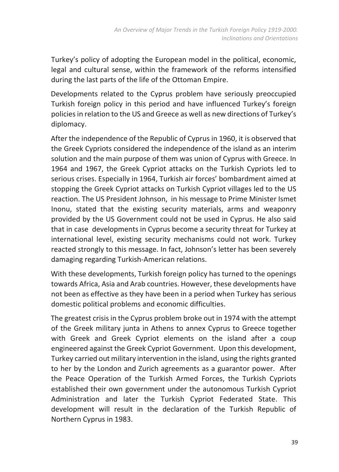Turkey's policy of adopting the European model in the political, economic, legal and cultural sense, within the framework of the reforms intensified during the last parts of the life of the Ottoman Empire.

Developments related to the Cyprus problem have seriously preoccupied Turkish foreign policy in this period and have influenced Turkey's foreign policies in relation to the US and Greece as well as new directions of Turkey's diplomacy.

After the independence of the Republic of Cyprus in 1960, it is observed that the Greek Cypriots considered the independence of the island as an interim solution and the main purpose of them was union of Cyprus with Greece. In 1964 and 1967, the Greek Cypriot attacks on the Turkish Cypriots led to serious crises. Especially in 1964, Turkish air forces' bombardment aimed at stopping the Greek Cypriot attacks on Turkish Cypriot villages led to the US reaction. The US President Johnson, in his message to Prime Minister Ismet Inonu, stated that the existing security materials, arms and weaponry provided by the US Government could not be used in Cyprus. He also said that in case developments in Cyprus become a security threat for Turkey at international level, existing security mechanisms could not work. Turkey reacted strongly to this message. In fact, Johnson's letter has been severely damaging regarding Turkish-American relations.

With these developments, Turkish foreign policy has turned to the openings towards Africa, Asia and Arab countries. However, these developments have not been as effective as they have been in a period when Turkey has serious domestic political problems and economic difficulties.

The greatest crisis in the Cyprus problem broke out in 1974 with the attempt of the Greek military junta in Athens to annex Cyprus to Greece together with Greek and Greek Cypriot elements on the island after a coup engineered against the Greek Cypriot Government. Upon this development, Turkey carried out military intervention in the island, using the rights granted to her by the London and Zurich agreements as a guarantor power. After the Peace Operation of the Turkish Armed Forces, the Turkish Cypriots established their own government under the autonomous Turkish Cypriot Administration and later the Turkish Cypriot Federated State. This development will result in the declaration of the Turkish Republic of Northern Cyprus in 1983.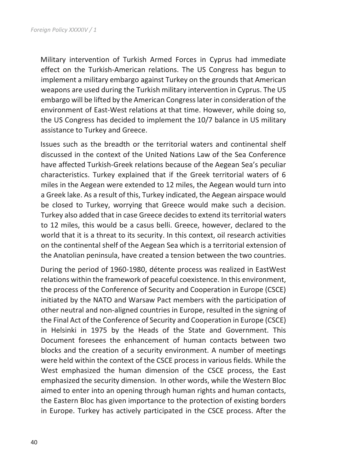Military intervention of Turkish Armed Forces in Cyprus had immediate effect on the Turkish-American relations. The US Congress has begun to implement a military embargo against Turkey on the grounds that American weapons are used during the Turkish military intervention in Cyprus. The US embargo will be lifted by the American Congress later in consideration of the environment of East-West relations at that time. However, while doing so, the US Congress has decided to implement the 10/7 balance in US military assistance to Turkey and Greece.

Issues such as the breadth or the territorial waters and continental shelf discussed in the context of the United Nations Law of the Sea Conference have affected Turkish-Greek relations because of the Aegean Sea's peculiar characteristics. Turkey explained that if the Greek territorial waters of 6 miles in the Aegean were extended to 12 miles, the Aegean would turn into a Greek lake. As a result of this, Turkey indicated, the Aegean airspace would be closed to Turkey, worrying that Greece would make such a decision. Turkey also added that in case Greece decides to extend its territorial waters to 12 miles, this would be a casus belli. Greece, however, declared to the world that it is a threat to its security. In this context, oil research activities on the continental shelf of the Aegean Sea which is a territorial extension of the Anatolian peninsula, have created a tension between the two countries.

During the period of 1960-1980, détente process was realized in EastWest relations within the framework of peaceful coexistence. In this environment, the process of the Conference of Security and Cooperation in Europe (CSCE) initiated by the NATO and Warsaw Pact members with the participation of other neutral and non-aligned countries in Europe, resulted in the signing of the Final Act of the Conference of Security and Cooperation in Europe (CSCE) in Helsinki in 1975 by the Heads of the State and Government. This Document foresees the enhancement of human contacts between two blocks and the creation of a security environment. A number of meetings were held within the context of the CSCE process in various fields. While the West emphasized the human dimension of the CSCE process, the East emphasized the security dimension. In other words, while the Western Bloc aimed to enter into an opening through human rights and human contacts, the Eastern Bloc has given importance to the protection of existing borders in Europe. Turkey has actively participated in the CSCE process. After the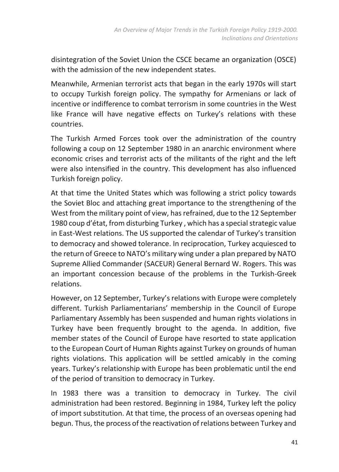disintegration of the Soviet Union the CSCE became an organization (OSCE) with the admission of the new independent states.

Meanwhile, Armenian terrorist acts that began in the early 1970s will start to occupy Turkish foreign policy. The sympathy for Armenians or lack of incentive or indifference to combat terrorism in some countries in the West like France will have negative effects on Turkey's relations with these countries.

The Turkish Armed Forces took over the administration of the country following a coup on 12 September 1980 in an anarchic environment where economic crises and terrorist acts of the militants of the right and the left were also intensified in the country. This development has also influenced Turkish foreign policy.

At that time the United States which was following a strict policy towards the Soviet Bloc and attaching great importance to the strengthening of the West from the military point of view, has refrained, due to the 12 September 1980 coup d'état, from disturbing Turkey , which has a special strategic value in East-West relations. The US supported the calendar of Turkey's transition to democracy and showed tolerance. In reciprocation, Turkey acquiesced to the return of Greece to NATO's military wing under a plan prepared by NATO Supreme Allied Commander (SACEUR) General Bernard W. Rogers. This was an important concession because of the problems in the Turkish-Greek relations.

However, on 12 September, Turkey's relations with Europe were completely different. Turkish Parliamentarians' membership in the Council of Europe Parliamentary Assembly has been suspended and human rights violations in Turkey have been frequently brought to the agenda. In addition, five member states of the Council of Europe have resorted to state application to the European Court of Human Rights against Turkey on grounds of human rights violations. This application will be settled amicably in the coming years. Turkey's relationship with Europe has been problematic until the end of the period of transition to democracy in Turkey.

In 1983 there was a transition to democracy in Turkey. The civil administration had been restored. Beginning in 1984, Turkey left the policy of import substitution. At that time, the process of an overseas opening had begun. Thus, the process of the reactivation of relations between Turkey and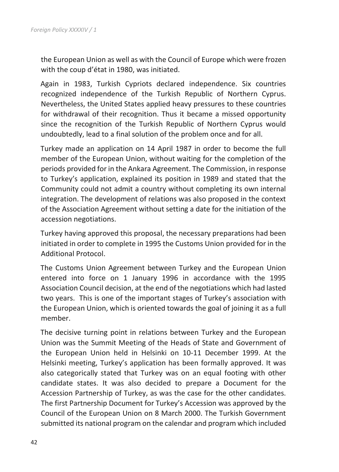the European Union as well as with the Council of Europe which were frozen with the coup d'état in 1980, was initiated.

Again in 1983, Turkish Cypriots declared independence. Six countries recognized independence of the Turkish Republic of Northern Cyprus. Nevertheless, the United States applied heavy pressures to these countries for withdrawal of their recognition. Thus it became a missed opportunity since the recognition of the Turkish Republic of Northern Cyprus would undoubtedly, lead to a final solution of the problem once and for all.

Turkey made an application on 14 April 1987 in order to become the full member of the European Union, without waiting for the completion of the periods provided for in the Ankara Agreement. The Commission, in response to Turkey's application, explained its position in 1989 and stated that the Community could not admit a country without completing its own internal integration. The development of relations was also proposed in the context of the Association Agreement without setting a date for the initiation of the accession negotiations.

Turkey having approved this proposal, the necessary preparations had been initiated in order to complete in 1995 the Customs Union provided for in the Additional Protocol.

The Customs Union Agreement between Turkey and the European Union entered into force on 1 January 1996 in accordance with the 1995 Association Council decision, at the end of the negotiations which had lasted two years. This is one of the important stages of Turkey's association with the European Union, which is oriented towards the goal of joining it as a full member.

The decisive turning point in relations between Turkey and the European Union was the Summit Meeting of the Heads of State and Government of the European Union held in Helsinki on 10-11 December 1999. At the Helsinki meeting, Turkey's application has been formally approved. It was also categorically stated that Turkey was on an equal footing with other candidate states. It was also decided to prepare a Document for the Accession Partnership of Turkey, as was the case for the other candidates. The first Partnership Document for Turkey's Accession was approved by the Council of the European Union on 8 March 2000. The Turkish Government submitted its national program on the calendar and program which included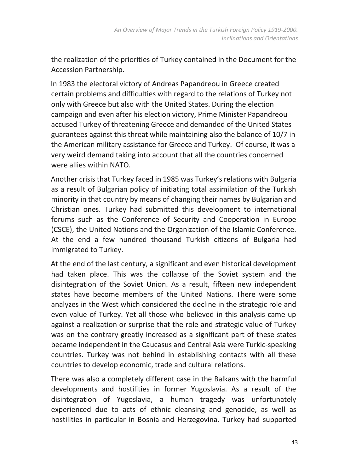the realization of the priorities of Turkey contained in the Document for the Accession Partnership.

In 1983 the electoral victory of Andreas Papandreou in Greece created certain problems and difficulties with regard to the relations of Turkey not only with Greece but also with the United States. During the election campaign and even after his election victory, Prime Minister Papandreou accused Turkey of threatening Greece and demanded of the United States guarantees against this threat while maintaining also the balance of 10/7 in the American military assistance for Greece and Turkey. Of course, it was a very weird demand taking into account that all the countries concerned were allies within NATO.

Another crisis that Turkey faced in 1985 was Turkey's relations with Bulgaria as a result of Bulgarian policy of initiating total assimilation of the Turkish minority in that country by means of changing their names by Bulgarian and Christian ones. Turkey had submitted this development to international forums such as the Conference of Security and Cooperation in Europe (CSCE), the United Nations and the Organization of the Islamic Conference. At the end a few hundred thousand Turkish citizens of Bulgaria had immigrated to Turkey.

At the end of the last century, a significant and even historical development had taken place. This was the collapse of the Soviet system and the disintegration of the Soviet Union. As a result, fifteen new independent states have become members of the United Nations. There were some analyzes in the West which considered the decline in the strategic role and even value of Turkey. Yet all those who believed in this analysis came up against a realization or surprise that the role and strategic value of Turkey was on the contrary greatly increased as a significant part of these states became independent in the Caucasus and Central Asia were Turkic-speaking countries. Turkey was not behind in establishing contacts with all these countries to develop economic, trade and cultural relations.

There was also a completely different case in the Balkans with the harmful developments and hostilities in former Yugoslavia. As a result of the disintegration of Yugoslavia, a human tragedy was unfortunately experienced due to acts of ethnic cleansing and genocide, as well as hostilities in particular in Bosnia and Herzegovina. Turkey had supported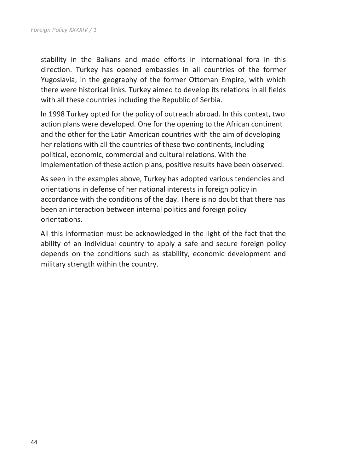stability in the Balkans and made efforts in international fora in this direction. Turkey has opened embassies in all countries of the former Yugoslavia, in the geography of the former Ottoman Empire, with which there were historical links. Turkey aimed to develop its relations in all fields with all these countries including the Republic of Serbia.

In 1998 Turkey opted for the policy of outreach abroad. In this context, two action plans were developed. One for the opening to the African continent and the other for the Latin American countries with the aim of developing her relations with all the countries of these two continents, including political, economic, commercial and cultural relations. With the implementation of these action plans, positive results have been observed.

As seen in the examples above, Turkey has adopted various tendencies and orientations in defense of her national interests in foreign policy in accordance with the conditions of the day. There is no doubt that there has been an interaction between internal politics and foreign policy orientations.

All this information must be acknowledged in the light of the fact that the ability of an individual country to apply a safe and secure foreign policy depends on the conditions such as stability, economic development and military strength within the country.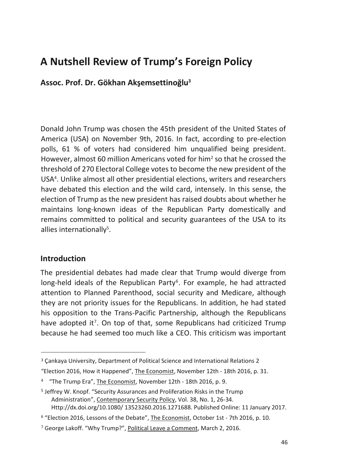# **A Nutshell Review of Trump's Foreign Policy**

**Assoc. Prof. Dr. Gökhan Akşemsettinoğlu<sup>3</sup>**

Donald John Trump was chosen the 45th president of the United States of America (USA) on November 9th, 2016. In fact, according to pre-election polls, 61 % of voters had considered him unqualified being president. However, almost 60 million Americans voted for him<sup>2</sup> so that he crossed the threshold of 270 Electoral College votes to become the new president of the USA<sup>4</sup> . Unlike almost all other presidential elections, writers and researchers have debated this election and the wild card, intensely. In this sense, the election of Trump as the new president has raised doubts about whether he maintains long-known ideas of the Republican Party domestically and remains committed to political and security guarantees of the USA to its allies internationally<sup>5</sup>.

#### **Introduction**

 $\overline{a}$ 

The presidential debates had made clear that Trump would diverge from long-held ideals of the Republican Party<sup>6</sup>. For example, he had attracted attention to Planned Parenthood, social security and Medicare, although they are not priority issues for the Republicans. In addition, he had stated his opposition to the Trans-Pacific Partnership, although the Republicans have adopted it<sup>7</sup>. On top of that, some Republicans had criticized Trump because he had seemed too much like a CEO. This criticism was important

<sup>3</sup> Çankaya University, Department of Political Science and International Relations 2

<sup>&</sup>quot;Election 2016, How it Happened", The Economist, November 12th - 18th 2016, p. 31.

<sup>&</sup>lt;sup>4</sup> "The Trump Era", The Economist, November 12th - 18th 2016, p. 9.

<sup>5</sup> Jeffrey W. Knopf. "Security Assurances and Proliferation Risks in the Trump Administration", Contemporary Security Policy, Vol. 38, No. 1, 26-34. Http://dx.doi.org/10.1080/ 13523260.2016.1271688. Published Online: 11 January 2017.

<sup>6</sup> "Election 2016, Lessons of the Debate", The Economist, October 1st - 7th 2016, p. 10.

<sup>7</sup> George Lakoff. "Why Trump?", Political Leave a Comment, March 2, 2016.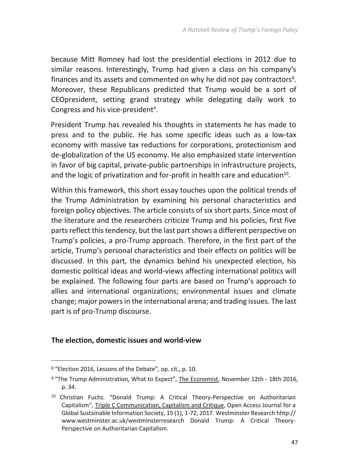because Mitt Romney had lost the presidential elections in 2012 due to similar reasons. Interestingly, Trump had given a class on his company's finances and its assets and commented on why he did not pay contractors<sup>8</sup>. Moreover, these Republicans predicted that Trump would be a sort of CEOpresident, setting grand strategy while delegating daily work to Congress and his vice-president<sup>9</sup>.

President Trump has revealed his thoughts in statements he has made to press and to the public. He has some specific ideas such as a low-tax economy with massive tax reductions for corporations, protectionism and de-globalization of the US economy. He also emphasized state intervention in favor of big capital, private-public partnerships in infrastructure projects, and the logic of privatization and for-profit in health care and education<sup>10</sup>.

Within this framework, this short essay touches upon the political trends of the Trump Administration by examining his personal characteristics and foreign policy objectives. The article consists of six short parts. Since most of the literature and the researchers criticize Trump and his policies, first five parts reflect this tendency, but the last part shows a different perspective on Trump's policies, a pro-Trump approach. Therefore, in the first part of the article, Trump's personal characteristics and their effects on politics will be discussed. In this part, the dynamics behind his unexpected election, his domestic political ideas and world-views affecting international politics will be explained. The following four parts are based on Trump's approach to allies and international organizations; environmental issues and climate change; major powers in the international arena; and trading issues. The last part is of pro-Trump discourse.

#### **The election, domestic issues and world-view**

**.** 

<sup>8</sup> "Election 2016, Lessons of the Debate", op. cit., p. 10.

<sup>&</sup>lt;sup>9</sup> "The Trump Administration, What to Expect", The Economist, November 12th - 18th 2016, p. 34.

<sup>10</sup> Christian Fuchs. "Donald Trump: A Critical Theory-Perspective on Authoritarian Capitalism", Triple C Communication, Capitalism and Critique, Open Access Journal for a Global Sustainable Information Society, 15 (1), 1-72, 2017. Westminster Research hhtp:// www.westminster.ac.uk/westminsterresearch Donald Trump: A Critical Theory-Perspective on Authoritarian Capitalism.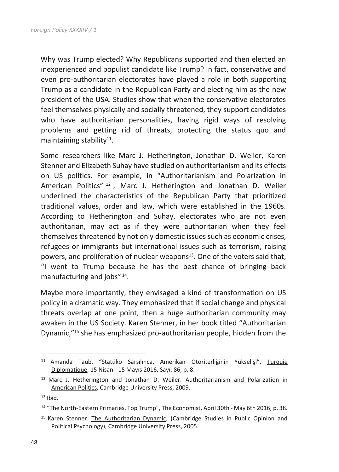Why was Trump elected? Why Republicans supported and then elected an inexperienced and populist candidate like Trump? In fact, conservative and even pro-authoritarian electorates have played a role in both supporting Trump as a candidate in the Republican Party and electing him as the new president of the USA. Studies show that when the conservative electorates feel themselves physically and socially threatened, they support candidates who have authoritarian personalities, having rigid ways of resolving problems and getting rid of threats, protecting the status quo and maintaining stability<sup>11</sup>.

Some researchers like Marc J. Hetherington, Jonathan D. Weiler, Karen Stenner and Elizabeth Suhay have studied on authoritarianism and its effects on US politics. For example, in "Authoritarianism and Polarization in American Politics" <sup>12</sup> , Marc J. Hetherington and Jonathan D. Weiler underlined the characteristics of the Republican Party that prioritized traditional values, order and law, which were established in the 1960s. According to Hetherington and Suhay, electorates who are not even authoritarian, may act as if they were authoritarian when they feel themselves threatened by not only domestic issues such as economic crises, refugees or immigrants but international issues such as terrorism, raising powers, and proliferation of nuclear weapons $13$ . One of the voters said that, "I went to Trump because he has the best chance of bringing back manufacturing and jobs"<sup>14</sup>.

Maybe more importantly, they envisaged a kind of transformation on US policy in a dramatic way. They emphasized that if social change and physical threats overlap at one point, then a huge authoritarian community may awaken in the US Society. Karen Stenner, in her book titled "Authoritarian Dynamic,"<sup>15</sup> she has emphasized pro-authoritarian people, hidden from the

 $\overline{a}$ 

<sup>11</sup> Amanda Taub. "Statüko Sarsılınca, Amerikan Otoriterliğinin Yükselişi", Turquie Diplomatique, 15 Nisan - 15 Mayıs 2016, Sayı: 86, p. 8.

<sup>12</sup> Marc J. Hetherington and Jonathan D. Weiler. Authoritarianism and Polarization in American Politics, Cambridge University Press, 2009.

 $13$  Ibid.

<sup>&</sup>lt;sup>14</sup> "The North-Eastern Primaries, Top Trump", The Economist, April 30th - May 6th 2016, p. 38.

<sup>&</sup>lt;sup>15</sup> Karen Stenner. The Authoritarian Dynamic, (Cambridge Studies in Public Opinion and Political Psychology), Cambridge University Press, 2005.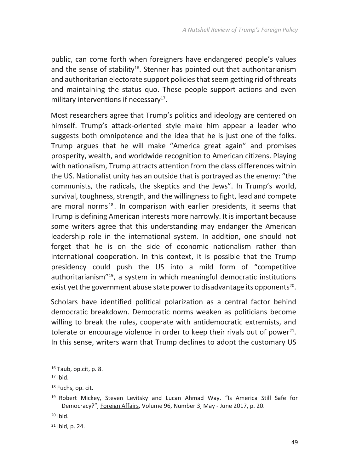public, can come forth when foreigners have endangered people's values and the sense of stability<sup>16</sup>. Stenner has pointed out that authoritarianism and authoritarian electorate support policies that seem getting rid of threats and maintaining the status quo. These people support actions and even military interventions if necessary $^{17}$ .

Most researchers agree that Trump's politics and ideology are centered on himself. Trump's attack-oriented style make him appear a leader who suggests both omnipotence and the idea that he is just one of the folks. Trump argues that he will make "America great again" and promises prosperity, wealth, and worldwide recognition to American citizens. Playing with nationalism, Trump attracts attention from the class differences within the US. Nationalist unity has an outside that is portrayed as the enemy: "the communists, the radicals, the skeptics and the Jews". In Trump's world, survival, toughness, strength, and the willingness to fight, lead and compete are moral norms<sup>18</sup>. In comparison with earlier presidents, it seems that Trump is defining American interests more narrowly. It is important because some writers agree that this understanding may endanger the American leadership role in the international system. In addition, one should not forget that he is on the side of economic nationalism rather than international cooperation. In this context, it is possible that the Trump presidency could push the US into a mild form of "competitive authoritarianism"<sup>19</sup>, a system in which meaningful democratic institutions exist yet the government abuse state power to disadvantage its opponents $^{20}$ .

Scholars have identified political polarization as a central factor behind democratic breakdown. Democratic norms weaken as politicians become willing to break the rules, cooperate with antidemocratic extremists, and tolerate or encourage violence in order to keep their rivals out of power $^{21}$ . In this sense, writers warn that Trump declines to adopt the customary US

**.** 

<sup>16</sup> Taub, op.cit, p. 8.

 $17$  Ibid.

<sup>&</sup>lt;sup>18</sup> Fuchs, op. cit.

<sup>19</sup> Robert Mickey, Steven Levitsky and Lucan Ahmad Way. "Is America Still Safe for Democracy?", Foreign Affairs, Volume 96, Number 3, May - June 2017, p. 20.

<sup>20</sup> Ibid.

<sup>21</sup> Ibid, p. 24.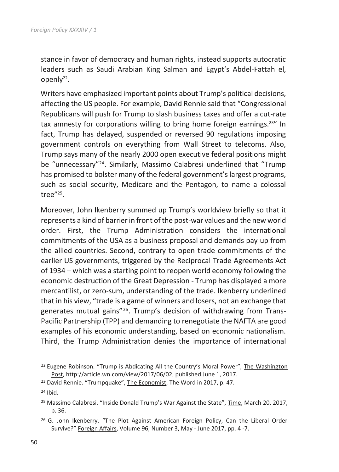stance in favor of democracy and human rights, instead supports autocratic leaders such as Saudi Arabian King Salman and Egypt's Abdel-Fattah el, openly<sup>22</sup>.

Writers have emphasized important points about Trump's political decisions, affecting the US people. For example, David Rennie said that "Congressional Republicans will push for Trump to slash business taxes and offer a cut-rate tax amnesty for corporations willing to bring home foreign earnings.<sup>23"</sup> In fact, Trump has delayed, suspended or reversed 90 regulations imposing government controls on everything from Wall Street to telecoms. Also, Trump says many of the nearly 2000 open executive federal positions might be "unnecessary"<sup>24</sup>. Similarly, Massimo Calabresi underlined that "Trump has promised to bolster many of the federal government's largest programs, such as social security, Medicare and the Pentagon, to name a colossal tree"<sup>25</sup> .

Moreover, John Ikenberry summed up Trump's worldview briefly so that it represents a kind of barrier in front of the post-war values and the new world order. First, the Trump Administration considers the international commitments of the USA as a business proposal and demands pay up from the allied countries. Second, contrary to open trade commitments of the earlier US governments, triggered by the Reciprocal Trade Agreements Act of 1934 – which was a starting point to reopen world economy following the economic destruction of the Great Depression - Trump has displayed a more mercantilist, or zero-sum, understanding of the trade. Ikenberry underlined that in his view, "trade is a game of winners and losers, not an exchange that generates mutual gains"<sup>26</sup>. Trump's decision of withdrawing from Trans-Pacific Partnership (TPP) and demanding to renegotiate the NAFTA are good examples of his economic understanding, based on economic nationalism. Third, the Trump Administration denies the importance of international

 $\overline{a}$ 

<sup>&</sup>lt;sup>22</sup> Eugene Robinson. "Trump is Abdicating All the Country's Moral Power", The Washington Post, http://article.wn.com/view/2017/06/02, published June 1, 2017.

<sup>&</sup>lt;sup>23</sup> David Rennie. "Trumpquake", The Economist, The Word in 2017, p. 47.

 $24$  Ibid.

<sup>&</sup>lt;sup>25</sup> Massimo Calabresi. "Inside Donald Trump's War Against the State", Time, March 20, 2017, p. 36.

<sup>&</sup>lt;sup>26</sup> G. John Ikenberry. "The Plot Against American Foreign Policy, Can the Liberal Order Survive?" Foreign Affairs, Volume 96, Number 3, May - June 2017, pp. 4 -7.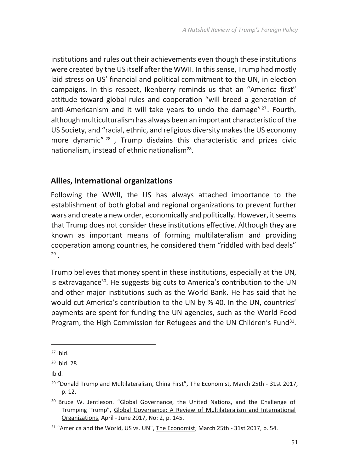institutions and rules out their achievements even though these institutions were created by the US itself after the WWII. In this sense, Trump had mostly laid stress on US' financial and political commitment to the UN, in election campaigns. In this respect, Ikenberry reminds us that an "America first" attitude toward global rules and cooperation "will breed a generation of anti-Americanism and it will take years to undo the damage"<sup>27</sup>. Fourth, although multiculturalism has always been an important characteristic of the US Society, and "racial, ethnic, and religious diversity makes the US economy more dynamic"<sup>28</sup>, Trump disdains this characteristic and prizes civic nationalism, instead of ethnic nationalism<sup>28</sup>.

#### **Allies, international organizations**

Following the WWII, the US has always attached importance to the establishment of both global and regional organizations to prevent further wars and create a new order, economically and politically. However, it seems that Trump does not consider these institutions effective. Although they are known as important means of forming multilateralism and providing cooperation among countries, he considered them "riddled with bad deals" 29 .

Trump believes that money spent in these institutions, especially at the UN, is extravagance<sup>30</sup>. He suggests big cuts to America's contribution to the UN and other major institutions such as the World Bank. He has said that he would cut America's contribution to the UN by % 40. In the UN, countries' payments are spent for funding the UN agencies, such as the World Food Program, the High Commission for Refugees and the UN Children's Fund<sup>31</sup>.

**.** 

Ibid.

<sup>27</sup> Ibid.

<sup>28</sup> Ibid. 28

<sup>&</sup>lt;sup>29</sup> "Donald Trump and Multilateralism, China First", The Economist, March 25th - 31st 2017, p. 12.

<sup>&</sup>lt;sup>30</sup> Bruce W. Jentleson. "Global Governance, the United Nations, and the Challenge of Trumping Trump", Global Governance: A Review of Multilateralism and International Organizations, April - June 2017, No: 2, p. 145.

<sup>&</sup>lt;sup>31</sup> "America and the World, US vs. UN", The Economist, March 25th - 31st 2017, p. 54.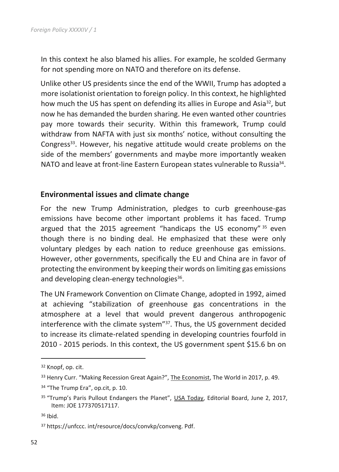In this context he also blamed his allies. For example, he scolded Germany for not spending more on NATO and therefore on its defense.

Unlike other US presidents since the end of the WWII, Trump has adopted a more isolationist orientation to foreign policy. In this context, he highlighted how much the US has spent on defending its allies in Europe and Asia<sup>32</sup>, but now he has demanded the burden sharing. He even wanted other countries pay more towards their security. Within this framework, Trump could withdraw from NAFTA with just six months' notice, without consulting the Congress<sup>33</sup>. However, his negative attitude would create problems on the side of the members' governments and maybe more importantly weaken NATO and leave at front-line Eastern European states vulnerable to Russia<sup>34</sup>.

#### **Environmental issues and climate change**

For the new Trump Administration, pledges to curb greenhouse-gas emissions have become other important problems it has faced. Trump argued that the 2015 agreement "handicaps the US economy"  $35$  even though there is no binding deal. He emphasized that these were only voluntary pledges by each nation to reduce greenhouse gas emissions. However, other governments, specifically the EU and China are in favor of protecting the environment by keeping their words on limiting gas emissions and developing clean-energy technologies<sup>36</sup>.

The UN Framework Convention on Climate Change, adopted in 1992, aimed at achieving "stabilization of greenhouse gas concentrations in the atmosphere at a level that would prevent dangerous anthropogenic interference with the climate system"<sup>37</sup>. Thus, the US government decided to increase its climate-related spending in developing countries fourfold in 2010 - 2015 periods. In this context, the US government spent \$15.6 bn on

 $\overline{a}$ 

<sup>32</sup> Knopf, op. cit.

<sup>33</sup> Henry Curr. "Making Recession Great Again?", The Economist, The World in 2017, p. 49.

<sup>34 &</sup>quot;The Trump Era", op.cit, p. 10.

<sup>&</sup>lt;sup>35</sup> "Trump's Paris Pullout Endangers the Planet", USA Today, Editorial Board, June 2, 2017, Item: JOE 177370517117.

<sup>36</sup> Ibid.

<sup>37</sup> https://unfccc. int/resource/docs/convkp/conveng. Pdf.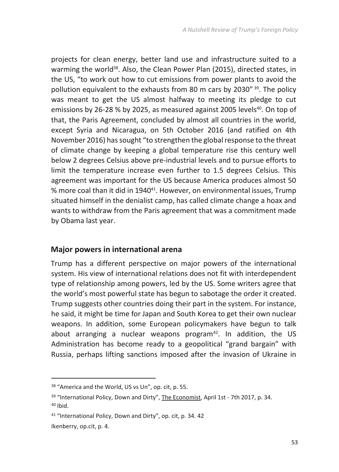projects for clean energy, better land use and infrastructure suited to a warming the world<sup>38</sup>. Also, the Clean Power Plan (2015), directed states, in the US, "to work out how to cut emissions from power plants to avoid the pollution equivalent to the exhausts from 80 m cars by 2030" <sup>39</sup>. The policy was meant to get the US almost halfway to meeting its pledge to cut emissions by 26-28 % by 2025, as measured against 2005 levels<sup>40</sup>. On top of that, the Paris Agreement, concluded by almost all countries in the world, except Syria and Nicaragua, on 5th October 2016 (and ratified on 4th November 2016) has sought "to strengthen the global response to the threat of climate change by keeping a global temperature rise this century well below 2 degrees Celsius above pre-industrial levels and to pursue efforts to limit the temperature increase even further to 1.5 degrees Celsius. This agreement was important for the US because America produces almost 50 % more coal than it did in 1940<sup>41</sup>. However, on environmental issues, Trump situated himself in the denialist camp, has called climate change a hoax and wants to withdraw from the Paris agreement that was a commitment made by Obama last year.

#### **Major powers in international arena**

Trump has a different perspective on major powers of the international system. His view of international relations does not fit with interdependent type of relationship among powers, led by the US. Some writers agree that the world's most powerful state has begun to sabotage the order it created. Trump suggests other countries doing their part in the system. For instance, he said, it might be time for Japan and South Korea to get their own nuclear weapons. In addition, some European policymakers have begun to talk about arranging a nuclear weapons program $42$ . In addition, the US Administration has become ready to a geopolitical "grand bargain" with Russia, perhaps lifting sanctions imposed after the invasion of Ukraine in

1

<sup>38</sup> "America and the World, US vs Un", op. cit, p. 55.

<sup>&</sup>lt;sup>39</sup> "International Policy, Down and Dirty", The Economist, April 1st - 7th 2017, p. 34.  $40$  Ibid.

<sup>41</sup> "International Policy, Down and Dirty", op. cit, p. 34. 42

Ikenberry, op.cit, p. 4.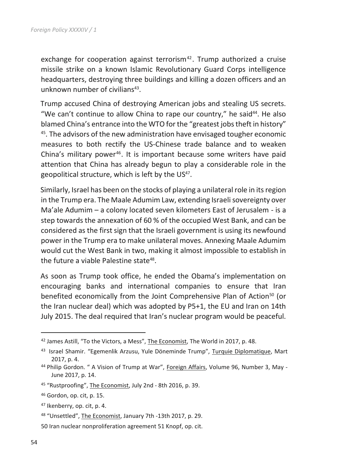exchange for cooperation against terrorism $42$ . Trump authorized a cruise missile strike on a known Islamic Revolutionary Guard Corps intelligence headquarters, destroying three buildings and killing a dozen officers and an unknown number of civilians<sup>43</sup>.

Trump accused China of destroying American jobs and stealing US secrets. "We can't continue to allow China to rape our country," he said<sup>44</sup>. He also blamed China's entrance into the WTO for the "greatest jobs theft in history" <sup>45</sup>. The advisors of the new administration have envisaged tougher economic measures to both rectify the US-Chinese trade balance and to weaken China's military power<sup>46</sup>. It is important because some writers have paid attention that China has already begun to play a considerable role in the geopolitical structure, which is left by the US<sup>47</sup>.

Similarly, Israel has been on the stocks of playing a unilateral role in its region in the Trump era. The Maale Adumim Law, extending Israeli sovereignty over Ma'ale Adumim – a colony located seven kilometers East of Jerusalem - is a step towards the annexation of 60 % of the occupied West Bank, and can be considered as the first sign that the Israeli government is using its newfound power in the Trump era to make unilateral moves. Annexing Maale Adumim would cut the West Bank in two, making it almost impossible to establish in the future a viable Palestine state<sup>48</sup>.

As soon as Trump took office, he ended the Obama's implementation on encouraging banks and international companies to ensure that Iran benefited economically from the Joint Comprehensive Plan of Action<sup>50</sup> (or the Iran nuclear deal) which was adopted by P5+1, the EU and Iran on 14th July 2015. The deal required that Iran's nuclear program would be peaceful.

 $\overline{a}$ 

<sup>42</sup> James Astill, "To the Victors, a Mess", The Economist, The World in 2017, p. 48.

<sup>&</sup>lt;sup>43</sup> Israel Shamir. "Egemenlik Arzusu, Yule Döneminde Trump", Turquie Diplomatique, Mart 2017, p. 4.

<sup>44</sup> Philip Gordon. " A Vision of Trump at War", Foreign Affairs, Volume 96, Number 3, May - June 2017, p. 14.

<sup>45</sup> "Rustproofing", The Economist, July 2nd - 8th 2016, p. 39.

<sup>46</sup> Gordon, op. cit, p. 15.

<sup>47</sup> Ikenberry, op. cit, p. 4.

<sup>48</sup> "Unsettled", The Economist, January 7th -13th 2017, p. 29.

<sup>50</sup> Iran nuclear nonproliferation agreement 51 Knopf, op. cit.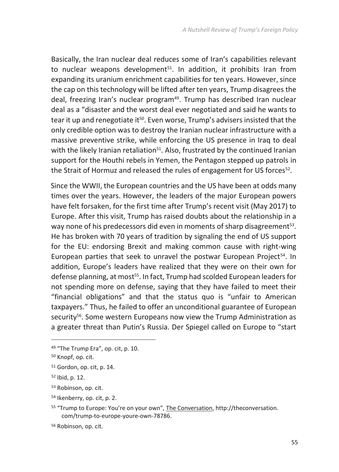Basically, the Iran nuclear deal reduces some of Iran's capabilities relevant to nuclear weapons development<sup>51</sup>. In addition, it prohibits Iran from expanding its uranium enrichment capabilities for ten years. However, since the cap on this technology will be lifted after ten years, Trump disagrees the deal, freezing Iran's nuclear program<sup>49</sup>. Trump has described Iran nuclear deal as a "disaster and the worst deal ever negotiated and said he wants to tear it up and renegotiate it<sup>50</sup>. Even worse, Trump's advisers insisted that the only credible option was to destroy the Iranian nuclear infrastructure with a massive preventive strike, while enforcing the US presence in Iraq to deal with the likely Iranian retaliation<sup>51</sup>. Also, frustrated by the continued Iranian support for the Houthi rebels in Yemen, the Pentagon stepped up patrols in the Strait of Hormuz and released the rules of engagement for US forces<sup>52</sup>.

Since the WWII, the European countries and the US have been at odds many times over the years. However, the leaders of the major European powers have felt forsaken, for the first time after Trump's recent visit (May 2017) to Europe. After this visit, Trump has raised doubts about the relationship in a way none of his predecessors did even in moments of sharp disagreement<sup>53</sup>. He has broken with 70 years of tradition by signaling the end of US support for the EU: endorsing Brexit and making common cause with right-wing European parties that seek to unravel the postwar European Project<sup>54</sup>. In addition, Europe's leaders have realized that they were on their own for defense planning, at most<sup>55</sup>. In fact, Trump had scolded European leaders for not spending more on defense, saying that they have failed to meet their "financial obligations" and that the status quo is "unfair to American taxpayers." Thus, he failed to offer an unconditional guarantee of European security<sup>56</sup>. Some western Europeans now view the Trump Administration as a greater threat than Putin's Russia. Der Spiegel called on Europe to "start

1

<sup>49 &</sup>quot;The Trump Era", op. cit, p. 10.

<sup>50</sup> Knopf, op. cit.

<sup>51</sup> Gordon, op. cit, p. 14.

<sup>52</sup> Ibid, p. 12.

<sup>53</sup> Robinson, op. cit.

<sup>54</sup> Ikenberry, op. cit, p. 2.

<sup>55</sup> "Trump to Europe: You're on your own", The Conversation, http://theconversation. com/trump-to-europe-youre-own-78786.

<sup>56</sup> Robinson, op. cit.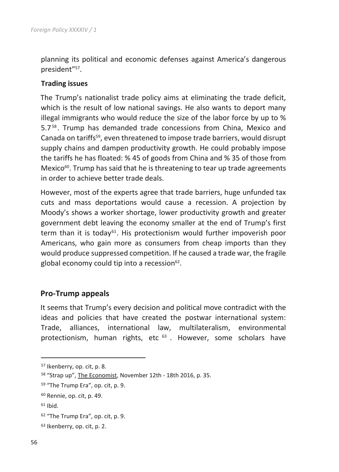planning its political and economic defenses against America's dangerous president"<sup>57</sup>.

#### **Trading issues**

The Trump's nationalist trade policy aims at eliminating the trade deficit, which is the result of low national savings. He also wants to deport many illegal immigrants who would reduce the size of the labor force by up to % 5.7<sup>58</sup> . Trump has demanded trade concessions from China, Mexico and Canada on tariffs<sup>59</sup>, even threatened to impose trade barriers, would disrupt supply chains and dampen productivity growth. He could probably impose the tariffs he has floated: % 45 of goods from China and % 35 of those from Mexico $60$ . Trump has said that he is threatening to tear up trade agreements in order to achieve better trade deals.

However, most of the experts agree that trade barriers, huge unfunded tax cuts and mass deportations would cause a recession. A projection by Moody's shows a worker shortage, lower productivity growth and greater government debt leaving the economy smaller at the end of Trump's first term than it is today<sup>61</sup>. His protectionism would further impoverish poor Americans, who gain more as consumers from cheap imports than they would produce suppressed competition. If he caused a trade war, the fragile global economy could tip into a recession<sup>62</sup>.

#### **Pro-Trump appeals**

It seems that Trump's every decision and political move contradict with the ideas and policies that have created the postwar international system: Trade, alliances, international law, multilateralism, environmental protectionism, human rights, etc 63. However, some scholars have

<sup>61</sup> Ibid.

 $\overline{a}$ 

<sup>57</sup> Ikenberry, op. cit, p. 8.

<sup>58</sup> "Strap up", The Economist, November 12th - 18th 2016, p. 35.

<sup>59</sup> "The Trump Era", op. cit, p. 9.

<sup>60</sup> Rennie, op. cit, p. 49.

<sup>62</sup> "The Trump Era", op. cit, p. 9.

<sup>63</sup> Ikenberry, op. cit, p. 2.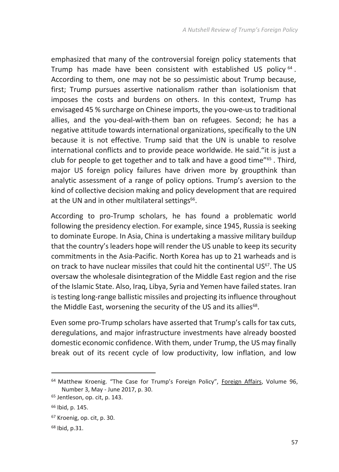emphasized that many of the controversial foreign policy statements that Trump has made have been consistent with established US policy <sup>64</sup>. According to them, one may not be so pessimistic about Trump because, first; Trump pursues assertive nationalism rather than isolationism that imposes the costs and burdens on others. In this context, Trump has envisaged 45 % surcharge on Chinese imports, the you-owe-us to traditional allies, and the you-deal-with-them ban on refugees. Second; he has a negative attitude towards international organizations, specifically to the UN because it is not effective. Trump said that the UN is unable to resolve international conflicts and to provide peace worldwide. He said."it is just a club for people to get together and to talk and have a good time"<sup>65</sup> . Third, major US foreign policy failures have driven more by groupthink than analytic assessment of a range of policy options. Trump's aversion to the kind of collective decision making and policy development that are required at the UN and in other multilateral settings<sup>66</sup>.

According to pro-Trump scholars, he has found a problematic world following the presidency election. For example, since 1945, Russia is seeking to dominate Europe. In Asia, China is undertaking a massive military buildup that the country's leaders hope will render the US unable to keep its security commitments in the Asia-Pacific. North Korea has up to 21 warheads and is on track to have nuclear missiles that could hit the continental US<sup>67</sup>. The US oversaw the wholesale disintegration of the Middle East region and the rise of the Islamic State. Also, Iraq, Libya, Syria and Yemen have failed states. Iran is testing long-range ballistic missiles and projecting its influence throughout the Middle East, worsening the security of the US and its allies<sup>68</sup>.

Even some pro-Trump scholars have asserted that Trump's calls for tax cuts, deregulations, and major infrastructure investments have already boosted domestic economic confidence. With them, under Trump, the US may finally break out of its recent cycle of low productivity, low inflation, and low

**.** 

<sup>64</sup> Matthew Kroenig. "The Case for Trump's Foreign Policy", Foreign Affairs, Volume 96, Number 3, May - June 2017, p. 30.

<sup>65</sup> Jentleson, op. cit, p. 143.

<sup>66</sup> Ibid, p. 145.

<sup>67</sup> Kroenig, op. cit, p. 30.

<sup>68</sup> Ibid, p.31.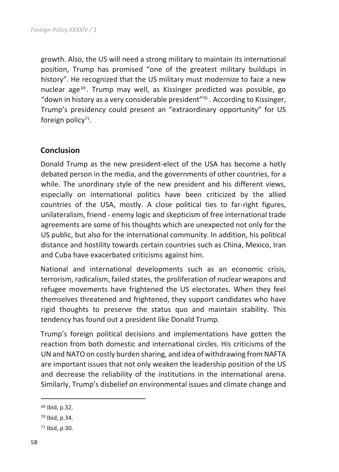growth. Also, the US will need a strong military to maintain its international position, Trump has promised "one of the greatest military buildups in history". He recognized that the US military must modernize to face a new nuclear age<sup>69</sup>. Trump may well, as Kissinger predicted was possible, go "down in history as a very considerable president" $\frac{1}{2}$ . According to Kissinger, Trump's presidency could present an "extraordinary opportunity" for US foreign policy<sup>71</sup>.

#### **Conclusion**

Donald Trump as the new president-elect of the USA has become a hotly debated person in the media, and the governments of other countries, for a while. The unordinary style of the new president and his different views, especially on international politics have been criticized by the allied countries of the USA, mostly. A close political ties to far-right figures, unilateralism, friend - enemy logic and skepticism of free international trade agreements are some of his thoughts which are unexpected not only for the US public, but also for the international community. In addition, his political distance and hostility towards certain countries such as China, Mexico, Iran and Cuba have exacerbated criticisms against him.

National and international developments such as an economic crisis, terrorism, radicalism, failed states, the proliferation of nuclear weapons and refugee movements have frightened the US electorates. When they feel themselves threatened and frightened, they support candidates who have rigid thoughts to preserve the status quo and maintain stability. This tendency has found out a president like Donald Trump.

Trump's foreign political decisions and implementations have gotten the reaction from both domestic and international circles. His criticisms of the UN and NATO on costly burden sharing, and idea of withdrawing from NAFTA are important issues that not only weaken the leadership position of the US and decrease the reliability of the institutions in the international arena. Similarly, Trump's disbelief on environmental issues and climate change and

 $\overline{a}$ 

<sup>69</sup> Ibid, p.32.

<sup>70</sup> Ibid, p.34.

<sup>71</sup> Ibid, p.30.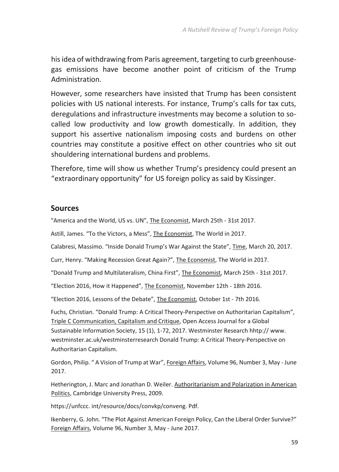his idea of withdrawing from Paris agreement, targeting to curb greenhousegas emissions have become another point of criticism of the Trump Administration.

However, some researchers have insisted that Trump has been consistent policies with US national interests. For instance, Trump's calls for tax cuts, deregulations and infrastructure investments may become a solution to socalled low productivity and low growth domestically. In addition, they support his assertive nationalism imposing costs and burdens on other countries may constitute a positive effect on other countries who sit out shouldering international burdens and problems.

Therefore, time will show us whether Trump's presidency could present an "extraordinary opportunity" for US foreign policy as said by Kissinger.

#### **Sources**

"America and the World, US vs. UN", The Economist, March 25th - 31st 2017.

Astill, James. "To the Victors, a Mess", The Economist, The World in 2017.

Calabresi, Massimo. "Inside Donald Trump's War Against the State", Time, March 20, 2017.

Curr, Henry. "Making Recession Great Again?", The Economist, The World in 2017.

"Donald Trump and Multilateralism, China First", The Economist, March 25th - 31st 2017.

"Election 2016, How it Happened", The Economist, November 12th - 18th 2016.

"Election 2016, Lessons of the Debate", The Economist, October 1st - 7th 2016.

Fuchs, Christian. "Donald Trump: A Critical Theory-Perspective on Authoritarian Capitalism", Triple C Communication, Capitalism and Critique, Open Access Journal for a Global Sustainable Information Society, 15 (1), 1-72, 2017. Westminster Research hhtp:// www. westminster.ac.uk/westminsterresearch Donald Trump: A Critical Theory-Perspective on Authoritarian Capitalism.

Gordon, Philip. " A Vision of Trump at War", Foreign Affairs, Volume 96, Number 3, May - June 2017.

Hetherington, J. Marc and Jonathan D. Weiler. Authoritarianism and Polarization in American Politics, Cambridge University Press, 2009.

https://unfccc. int/resource/docs/convkp/conveng. Pdf.

Ikenberry, G. John. "The Plot Against American Foreign Policy, Can the Liberal Order Survive?" Foreign Affairs, Volume 96, Number 3, May - June 2017.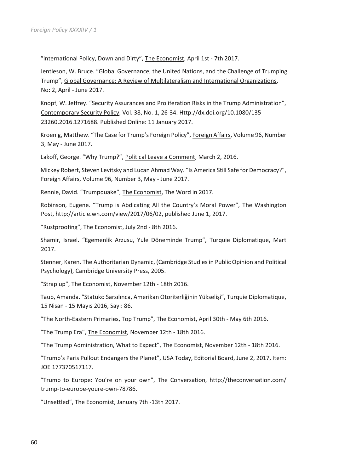"International Policy, Down and Dirty", The Economist, April 1st - 7th 2017.

Jentleson, W. Bruce. "Global Governance, the United Nations, and the Challenge of Trumping Trump", Global Governance: A Review of Multilateralism and International Organizations, No: 2, April - June 2017.

Knopf, W. Jeffrey. "Security Assurances and Proliferation Risks in the Trump Administration", Contemporary Security Policy, Vol. 38, No. 1, 26-34. Http://dx.doi.org/10.1080/135 23260.2016.1271688. Published Online: 11 January 2017.

Kroenig, Matthew. "The Case for Trump's Foreign Policy", Foreign Affairs, Volume 96, Number 3, May - June 2017.

Lakoff, George. "Why Trump?", Political Leave a Comment, March 2, 2016.

Mickey Robert, Steven Levitsky and Lucan Ahmad Way. "Is America Still Safe for Democracy?", Foreign Affairs, Volume 96, Number 3, May - June 2017.

Rennie, David. "Trumpquake", The Economist, The Word in 2017.

Robinson, Eugene. "Trump is Abdicating All the Country's Moral Power", The Washington Post, http://article.wn.com/view/2017/06/02, published June 1, 2017.

"Rustproofing", The Economist, July 2nd - 8th 2016.

Shamir, Israel. "Egemenlik Arzusu, Yule Döneminde Trump", Turquie Diplomatique, Mart 2017.

Stenner, Karen. The Authoritarian Dynamic, (Cambridge Studies in Public Opinion and Political Psychology), Cambridge University Press, 2005.

"Strap up", The Economist, November 12th - 18th 2016.

Taub, Amanda. "Statüko Sarsılınca, Amerikan Otoriterliğinin Yükselişi", Turquie Diplomatique, 15 Nisan - 15 Mayıs 2016, Sayı: 86.

"The North-Eastern Primaries, Top Trump", The Economist, April 30th - May 6th 2016.

"The Trump Era", The Economist, November 12th - 18th 2016.

"The Trump Administration, What to Expect", The Economist, November 12th - 18th 2016.

"Trump's Paris Pullout Endangers the Planet", USA Today, Editorial Board, June 2, 2017, Item: JOE 177370517117.

"Trump to Europe: You're on your own", The Conversation, http://theconversation.com/ trump-to-europe-youre-own-78786.

"Unsettled", The Economist, January 7th -13th 2017.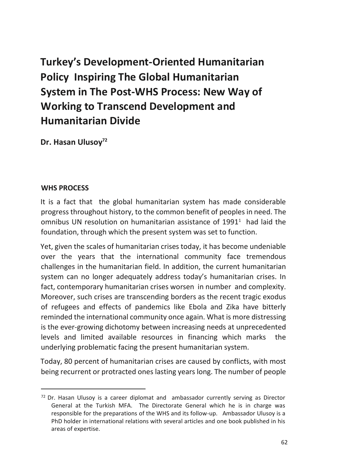# **Turkey's Development-Oriented Humanitarian Policy Inspiring The Global Humanitarian System in The Post-WHS Process: New Way of Working to Transcend Development and Humanitarian Divide**

**Dr. Hasan Ulusoy<sup>72</sup>**

#### **WHS PROCESS**

 $\overline{a}$ 

It is a fact that the global humanitarian system has made considerable progress throughout history, to the common benefit of peoples in need. The omnibus UN resolution on humanitarian assistance of  $1991<sup>1</sup>$  had laid the foundation, through which the present system was set to function.

Yet, given the scales of humanitarian crises today, it has become undeniable over the years that the international community face tremendous challenges in the humanitarian field. In addition, the current humanitarian system can no longer adequately address today's humanitarian crises. In fact, contemporary humanitarian crises worsen in number and complexity. Moreover, such crises are transcending borders as the recent tragic exodus of refugees and effects of pandemics like Ebola and Zika have bitterly reminded the international community once again. What is more distressing is the ever-growing dichotomy between increasing needs at unprecedented levels and limited available resources in financing which marks the underlying problematic facing the present humanitarian system.

Today, 80 percent of humanitarian crises are caused by conflicts, with most being recurrent or protracted ones lasting years long. The number of people

<sup>72</sup> Dr. Hasan Ulusoy is a career diplomat and ambassador currently serving as Director General at the Turkish MFA. The Directorate General which he is in charge was responsible for the preparations of the WHS and its follow-up. Ambassador Ulusoy is a PhD holder in international relations with several articles and one book published in his areas of expertise.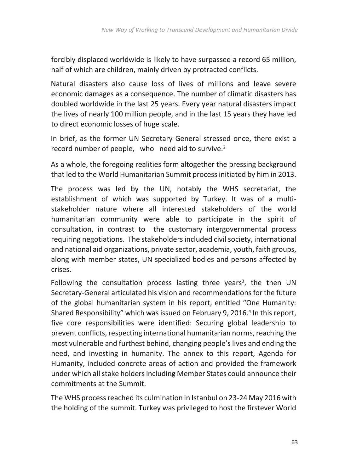forcibly displaced worldwide is likely to have surpassed a record 65 million, half of which are children, mainly driven by protracted conflicts.

Natural disasters also cause loss of lives of millions and leave severe economic damages as a consequence. The number of climatic disasters has doubled worldwide in the last 25 years. Every year natural disasters impact the lives of nearly 100 million people, and in the last 15 years they have led to direct economic losses of huge scale.

In brief, as the former UN Secretary General stressed once, there exist a record number of people, who need aid to survive. $2$ 

As a whole, the foregoing realities form altogether the pressing background that led to the World Humanitarian Summit process initiated by him in 2013.

The process was led by the UN, notably the WHS secretariat, the establishment of which was supported by Turkey. It was of a multistakeholder nature where all interested stakeholders of the world humanitarian community were able to participate in the spirit of consultation, in contrast to the customary intergovernmental process requiring negotiations. The stakeholders included civil society, international and national aid organizations, private sector, academia, youth, faith groups, along with member states, UN specialized bodies and persons affected by crises.

Following the consultation process lasting three years<sup>3</sup>, the then UN Secretary-General articulated his vision and recommendations for the future of the global humanitarian system in his report, entitled "One Humanity: Shared Responsibility" which was issued on February 9, 2016.<sup>4</sup> In this report, five core responsibilities were identified: Securing global leadership to prevent conflicts, respecting international humanitarian norms, reaching the most vulnerable and furthest behind, changing people's lives and ending the need, and investing in humanity. The annex to this report, Agenda for Humanity, included concrete areas of action and provided the framework under which all stake holders including Member States could announce their commitments at the Summit.

The WHS process reached its culmination in Istanbul on 23-24 May 2016 with the holding of the summit. Turkey was privileged to host the firstever World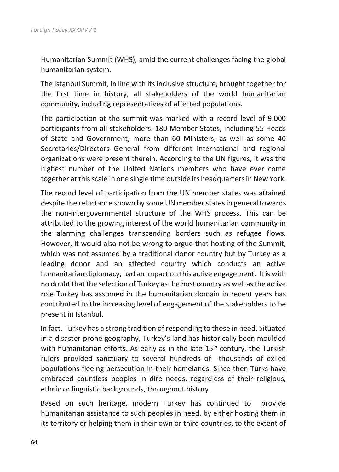Humanitarian Summit (WHS), amid the current challenges facing the global humanitarian system.

The Istanbul Summit, in line with its inclusive structure, brought together for the first time in history, all stakeholders of the world humanitarian community, including representatives of affected populations.

The participation at the summit was marked with a record level of 9.000 participants from all stakeholders. 180 Member States, including 55 Heads of State and Government, more than 60 Ministers, as well as some 40 Secretaries/Directors General from different international and regional organizations were present therein. According to the UN figures, it was the highest number of the United Nations members who have ever come together at this scale in one single time outside its headquarters in New York.

The record level of participation from the UN member states was attained despite the reluctance shown by some UN member states in general towards the non-intergovernmental structure of the WHS process. This can be attributed to the growing interest of the world humanitarian community in the alarming challenges transcending borders such as refugee flows. However, it would also not be wrong to argue that hosting of the Summit, which was not assumed by a traditional donor country but by Turkey as a leading donor and an affected country which conducts an active humanitarian diplomacy, had an impact on this active engagement. It is with no doubt that the selection of Turkey as the host country as well as the active role Turkey has assumed in the humanitarian domain in recent years has contributed to the increasing level of engagement of the stakeholders to be present in Istanbul.

In fact, Turkey has a strong tradition of responding to those in need. Situated in a disaster-prone geography, Turkey's land has historically been moulded with humanitarian efforts. As early as in the late  $15<sup>th</sup>$  century, the Turkish rulers provided sanctuary to several hundreds of thousands of exiled populations fleeing persecution in their homelands. Since then Turks have embraced countless peoples in dire needs, regardless of their religious, ethnic or linguistic backgrounds, throughout history.

Based on such heritage, modern Turkey has continued to provide humanitarian assistance to such peoples in need, by either hosting them in its territory or helping them in their own or third countries, to the extent of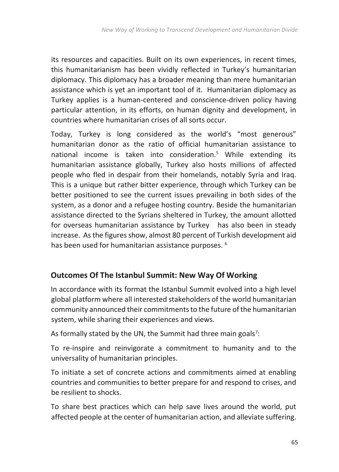its resources and capacities. Built on its own experiences, in recent times, this humanitarianism has been vividly reflected in Turkey's humanitarian diplomacy. This diplomacy has a broader meaning than mere humanitarian assistance which is yet an important tool of it. Humanitarian diplomacy as Turkey applies is a human-centered and conscience-driven policy having particular attention, in its efforts, on human dignity and development, in countries where humanitarian crises of all sorts occur.

Today, Turkey is long considered as the world's "most generous" humanitarian donor as the ratio of official humanitarian assistance to national income is taken into consideration.<sup>5</sup> While extending its humanitarian assistance globally, Turkey also hosts millions of affected people who fled in despair from their homelands, notably Syria and Iraq. This is a unique but rather bitter experience, through which Turkey can be better positioned to see the current issues prevailing in both sides of the system, as a donor and a refugee hosting country. Beside the humanitarian assistance directed to the Syrians sheltered in Turkey, the amount allotted for overseas humanitarian assistance by Turkey has also been in steady increase. As the figures show, almost 80 percent of Turkish development aid has been used for humanitarian assistance purposes. <sup>6</sup>

### **Outcomes Of The Istanbul Summit: New Way Of Working**

In accordance with its format the Istanbul Summit evolved into a high level global platform where all interested stakeholders of the world humanitarian community announced their commitments to the future of the humanitarian system, while sharing their experiences and views.

As formally stated by the UN, the Summit had three main goals<sup>7</sup>:

To re-inspire and reinvigorate a commitment to humanity and to the universality of humanitarian principles.

To initiate a set of concrete actions and commitments aimed at enabling countries and communities to better prepare for and respond to crises, and be resilient to shocks.

To share best practices which can help save lives around the world, put affected people at the center of humanitarian action, and alleviate suffering.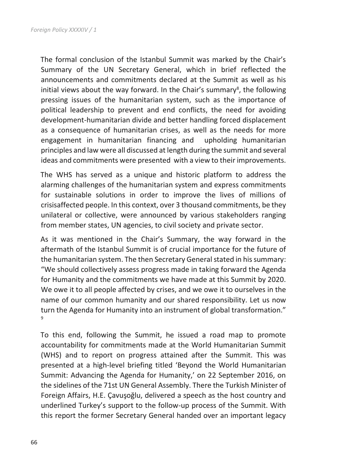The formal conclusion of the Istanbul Summit was marked by the Chair's Summary of the UN Secretary General, which in brief reflected the announcements and commitments declared at the Summit as well as his initial views about the way forward. In the Chair's summary<sup>8</sup>, the following pressing issues of the humanitarian system, such as the importance of political leadership to prevent and end conflicts, the need for avoiding development-humanitarian divide and better handling forced displacement as a consequence of humanitarian crises, as well as the needs for more engagement in humanitarian financing and upholding humanitarian principles and law were all discussed at length during the summit and several ideas and commitments were presented with a view to their improvements.

The WHS has served as a unique and historic platform to address the alarming challenges of the humanitarian system and express commitments for sustainable solutions in order to improve the lives of millions of crisisaffected people. In this context, over 3 thousand commitments, be they unilateral or collective, were announced by various stakeholders ranging from member states, UN agencies, to civil society and private sector.

As it was mentioned in the Chair's Summary, the way forward in the aftermath of the Istanbul Summit is of crucial importance for the future of the humanitarian system. The then Secretary General stated in his summary: "We should collectively assess progress made in taking forward the Agenda for Humanity and the commitments we have made at this Summit by 2020. We owe it to all people affected by crises, and we owe it to ourselves in the name of our common humanity and our shared responsibility. Let us now turn the Agenda for Humanity into an instrument of global transformation." 9

To this end, following the Summit, he issued a road map to promote accountability for commitments made at the World Humanitarian Summit (WHS) and to report on progress attained after the Summit. This was presented at a high-level briefing titled 'Beyond the World Humanitarian Summit: Advancing the Agenda for Humanity,' on 22 September 2016, on the sidelines of the 71st UN General Assembly. There the Turkish Minister of Foreign Affairs, H.E. Çavuşoğlu, delivered a speech as the host country and underlined Turkey's support to the follow-up process of the Summit. With this report the former Secretary General handed over an important legacy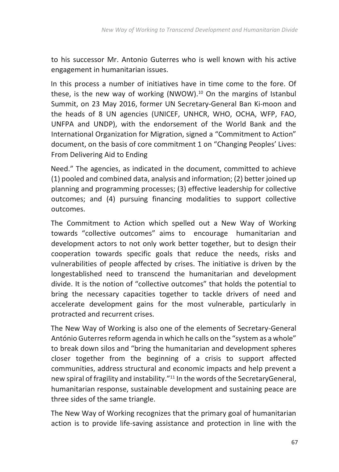to his successor Mr. Antonio Guterres who is well known with his active engagement in humanitarian issues.

In this process a number of initiatives have in time come to the fore. Of these, is the new way of working (NWOW). $10$  On the margins of Istanbul Summit, on 23 May 2016, former UN Secretary-General Ban Ki-moon and the heads of 8 UN agencies (UNICEF, UNHCR, WHO, OCHA, WFP, FAO, UNFPA and UNDP), with the endorsement of the World Bank and the International Organization for Migration, signed a "Commitment to Action" document, on the basis of core commitment 1 on "Changing Peoples' Lives: From Delivering Aid to Ending

Need." The agencies, as indicated in the document, committed to achieve (1) pooled and combined data, analysis and information; (2) better joined up planning and programming processes; (3) effective leadership for collective outcomes; and (4) pursuing financing modalities to support collective outcomes.

The Commitment to Action which spelled out a New Way of Working towards "collective outcomes" aims to encourage humanitarian and development actors to not only work better together, but to design their cooperation towards specific goals that reduce the needs, risks and vulnerabilities of people affected by crises. The initiative is driven by the longestablished need to transcend the humanitarian and development divide. It is the notion of "collective outcomes" that holds the potential to bring the necessary capacities together to tackle drivers of need and accelerate development gains for the most vulnerable, particularly in protracted and recurrent crises.

The New Way of Working is also one of the elements of Secretary-General António Guterres reform agenda in which he calls on the "system as a whole" to break down silos and "bring the humanitarian and development spheres closer together from the beginning of a crisis to support affected communities, address structural and economic impacts and help prevent a new spiral of fragility and instability."<sup>11</sup> In the words of the SecretaryGeneral, humanitarian response, sustainable development and sustaining peace are three sides of the same triangle.

The New Way of Working recognizes that the primary goal of humanitarian action is to provide life-saving assistance and protection in line with the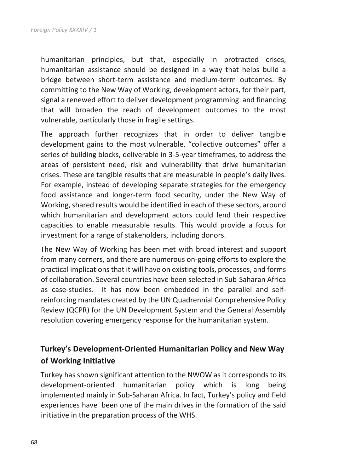humanitarian principles, but that, especially in protracted crises, humanitarian assistance should be designed in a way that helps build a bridge between short-term assistance and medium-term outcomes. By committing to the New Way of Working, development actors, for their part, signal a renewed effort to deliver development programming and financing that will broaden the reach of development outcomes to the most vulnerable, particularly those in fragile settings.

The approach further recognizes that in order to deliver tangible development gains to the most vulnerable, "collective outcomes" offer a series of building blocks, deliverable in 3-5-year timeframes, to address the areas of persistent need, risk and vulnerability that drive humanitarian crises. These are tangible results that are measurable in people's daily lives. For example, instead of developing separate strategies for the emergency food assistance and longer-term food security, under the New Way of Working, shared results would be identified in each of these sectors, around which humanitarian and development actors could lend their respective capacities to enable measurable results. This would provide a focus for investment for a range of stakeholders, including donors.

The New Way of Working has been met with broad interest and support from many corners, and there are numerous on-going efforts to explore the practical implications that it will have on existing tools, processes, and forms of collaboration. Several countries have been selected in Sub-Saharan Africa as case-studies. It has now been embedded in the parallel and selfreinforcing mandates created by the UN Quadrennial Comprehensive Policy Review (QCPR) for the UN Development System and the General Assembly resolution covering emergency response for the humanitarian system.

## **Turkey's Development-Oriented Humanitarian Policy and New Way of Working Initiative**

Turkey has shown significant attention to the NWOW as it corresponds to its development-oriented humanitarian policy which is long being implemented mainly in Sub-Saharan Africa. In fact, Turkey's policy and field experiences have been one of the main drives in the formation of the said initiative in the preparation process of the WHS.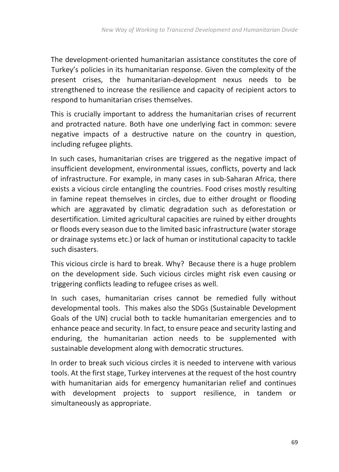The development-oriented humanitarian assistance constitutes the core of Turkey's policies in its humanitarian response. Given the complexity of the present crises, the humanitarian-development nexus needs to be strengthened to increase the resilience and capacity of recipient actors to respond to humanitarian crises themselves.

This is crucially important to address the humanitarian crises of recurrent and protracted nature. Both have one underlying fact in common: severe negative impacts of a destructive nature on the country in question, including refugee plights.

In such cases, humanitarian crises are triggered as the negative impact of insufficient development, environmental issues, conflicts, poverty and lack of infrastructure. For example, in many cases in sub-Saharan Africa, there exists a vicious circle entangling the countries. Food crises mostly resulting in famine repeat themselves in circles, due to either drought or flooding which are aggravated by climatic degradation such as deforestation or desertification. Limited agricultural capacities are ruined by either droughts or floods every season due to the limited basic infrastructure (water storage or drainage systems etc.) or lack of human or institutional capacity to tackle such disasters.

This vicious circle is hard to break. Why? Because there is a huge problem on the development side. Such vicious circles might risk even causing or triggering conflicts leading to refugee crises as well.

In such cases, humanitarian crises cannot be remedied fully without developmental tools. This makes also the SDGs (Sustainable Development Goals of the UN) crucial both to tackle humanitarian emergencies and to enhance peace and security. In fact, to ensure peace and security lasting and enduring, the humanitarian action needs to be supplemented with sustainable development along with democratic structures.

In order to break such vicious circles it is needed to intervene with various tools. At the first stage, Turkey intervenes at the request of the host country with humanitarian aids for emergency humanitarian relief and continues with development projects to support resilience, in tandem or simultaneously as appropriate.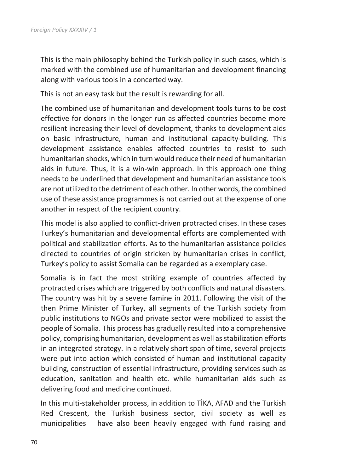This is the main philosophy behind the Turkish policy in such cases, which is marked with the combined use of humanitarian and development financing along with various tools in a concerted way.

This is not an easy task but the result is rewarding for all.

The combined use of humanitarian and development tools turns to be cost effective for donors in the longer run as affected countries become more resilient increasing their level of development, thanks to development aids on basic infrastructure, human and institutional capacity-building. This development assistance enables affected countries to resist to such humanitarian shocks, which in turn would reduce their need of humanitarian aids in future. Thus, it is a win-win approach. In this approach one thing needs to be underlined that development and humanitarian assistance tools are not utilized to the detriment of each other. In other words, the combined use of these assistance programmes is not carried out at the expense of one another in respect of the recipient country.

This model is also applied to conflict-driven protracted crises. In these cases Turkey's humanitarian and developmental efforts are complemented with political and stabilization efforts. As to the humanitarian assistance policies directed to countries of origin stricken by humanitarian crises in conflict, Turkey's policy to assist Somalia can be regarded as a exemplary case.

Somalia is in fact the most striking example of countries affected by protracted crises which are triggered by both conflicts and natural disasters. The country was hit by a severe famine in 2011. Following the visit of the then Prime Minister of Turkey, all segments of the Turkish society from public institutions to NGOs and private sector were mobilized to assist the people of Somalia. This process has gradually resulted into a comprehensive policy, comprising humanitarian, development as well as stabilization efforts in an integrated strategy. In a relatively short span of time, several projects were put into action which consisted of human and institutional capacity building, construction of essential infrastructure, providing services such as education, sanitation and health etc. while humanitarian aids such as delivering food and medicine continued.

In this multi-stakeholder process, in addition to TİKA, AFAD and the Turkish Red Crescent, the Turkish business sector, civil society as well as municipalities have also been heavily engaged with fund raising and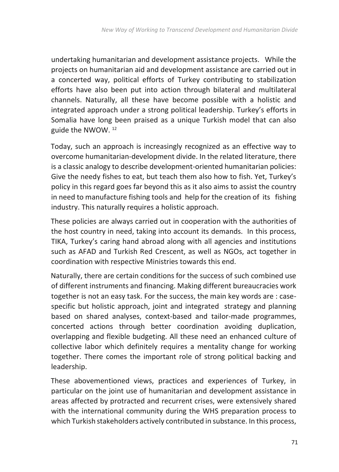undertaking humanitarian and development assistance projects. While the projects on humanitarian aid and development assistance are carried out in a concerted way, political efforts of Turkey contributing to stabilization efforts have also been put into action through bilateral and multilateral channels. Naturally, all these have become possible with a holistic and integrated approach under a strong political leadership. Turkey's efforts in Somalia have long been praised as a unique Turkish model that can also guide the NWOW. <sup>12</sup>

Today, such an approach is increasingly recognized as an effective way to overcome humanitarian-development divide. In the related literature, there is a classic analogy to describe development-oriented humanitarian policies: Give the needy fishes to eat, but teach them also how to fish. Yet, Turkey's policy in this regard goes far beyond this as it also aims to assist the country in need to manufacture fishing tools and help for the creation of its fishing industry. This naturally requires a holistic approach.

These policies are always carried out in cooperation with the authorities of the host country in need, taking into account its demands. In this process, TIKA, Turkey's caring hand abroad along with all agencies and institutions such as AFAD and Turkish Red Crescent, as well as NGOs, act together in coordination with respective Ministries towards this end.

Naturally, there are certain conditions for the success of such combined use of different instruments and financing. Making different bureaucracies work together is not an easy task. For the success, the main key words are : casespecific but holistic approach, joint and integrated strategy and planning based on shared analyses, context-based and tailor-made programmes, concerted actions through better coordination avoiding duplication, overlapping and flexible budgeting. All these need an enhanced culture of collective labor which definitely requires a mentality change for working together. There comes the important role of strong political backing and leadership.

These abovementioned views, practices and experiences of Turkey, in particular on the joint use of humanitarian and development assistance in areas affected by protracted and recurrent crises, were extensively shared with the international community during the WHS preparation process to which Turkish stakeholders actively contributed in substance. In this process,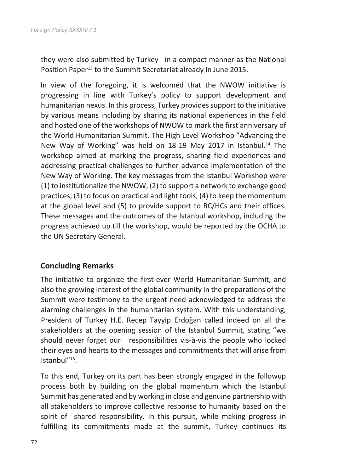they were also submitted by Turkey in a compact manner as the National Position Paper<sup>13</sup> to the Summit Secretariat already in June 2015.

In view of the foregoing, it is welcomed that the NWOW initiative is progressing in line with Turkey's policy to support development and humanitarian nexus. In this process, Turkey provides support to the initiative by various means including by sharing its national experiences in the field and hosted one of the workshops of NWOW to mark the first anniversary of the World Humanitarian Summit. The High Level Workshop "Advancing the New Way of Working" was held on 18-19 May 2017 in Istanbul.<sup>14</sup> The workshop aimed at marking the progress, sharing field experiences and addressing practical challenges to further advance implementation of the New Way of Working. The key messages from the Istanbul Workshop were (1) to institutionalize the NWOW, (2) to support a network to exchange good practices, (3) to focus on practical and light tools, (4) to keep the momentum at the global level and (5) to provide support to RC/HCs and their offices. These messages and the outcomes of the Istanbul workshop, including the progress achieved up till the workshop, would be reported by the OCHA to the UN Secretary General.

#### **Concluding Remarks**

The initiative to organize the first-ever World Humanitarian Summit, and also the growing interest of the global community in the preparations of the Summit were testimony to the urgent need acknowledged to address the alarming challenges in the humanitarian system. With this understanding, President of Turkey H.E. Recep Tayyip Erdoğan called indeed on all the stakeholders at the opening session of the Istanbul Summit, stating "we should never forget our responsibilities vis-à-vis the people who locked their eyes and hearts to the messages and commitments that will arise from Istanbul"<sup>15</sup> .

To this end, Turkey on its part has been strongly engaged in the followup process both by building on the global momentum which the Istanbul Summit has generated and by working in close and genuine partnership with all stakeholders to improve collective response to humanity based on the spirit of shared responsibility. In this pursuit, while making progress in fulfilling its commitments made at the summit, Turkey continues its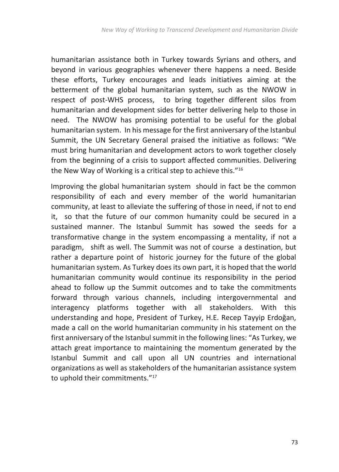humanitarian assistance both in Turkey towards Syrians and others, and beyond in various geographies whenever there happens a need. Beside these efforts, Turkey encourages and leads initiatives aiming at the betterment of the global humanitarian system, such as the NWOW in respect of post-WHS process, to bring together different silos from humanitarian and development sides for better delivering help to those in need. The NWOW has promising potential to be useful for the global humanitarian system. In his message for the first anniversary of the Istanbul Summit, the UN Secretary General praised the initiative as follows: "We must bring humanitarian and development actors to work together closely from the beginning of a crisis to support affected communities. Delivering the New Way of Working is a critical step to achieve this."<sup>16</sup>

Improving the global humanitarian system should in fact be the common responsibility of each and every member of the world humanitarian community, at least to alleviate the suffering of those in need, if not to end it, so that the future of our common humanity could be secured in a sustained manner. The Istanbul Summit has sowed the seeds for a transformative change in the system encompassing a mentality, if not a paradigm, shift as well. The Summit was not of course a destination, but rather a departure point of historic journey for the future of the global humanitarian system. As Turkey does its own part, it is hoped that the world humanitarian community would continue its responsibility in the period ahead to follow up the Summit outcomes and to take the commitments forward through various channels, including intergovernmental and interagency platforms together with all stakeholders. With this understanding and hope, President of Turkey, H.E. Recep Tayyip Erdoğan, made a call on the world humanitarian community in his statement on the first anniversary of the Istanbul summit in the following lines: "As Turkey, we attach great importance to maintaining the momentum generated by the Istanbul Summit and call upon all UN countries and international organizations as well as stakeholders of the humanitarian assistance system to uphold their commitments."<sup>17</sup>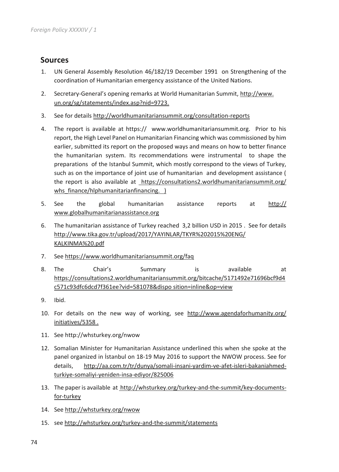## **Sources**

- 1. UN General Assembly Resolution 46/182/19 December 1991 on Strengthening of the coordination of Humanitarian emergency assistance of the United Nations.
- 2. Secretary-General's opening remarks at World Humanitarian Summit, http://www. un.org/sg/statements/index.asp?nid=9723.
- 3. See for details http://worldhumanitariansummit.org/consultation-reports
- 4. The report is available at https:// www.worldhumanitariansummit.org. Prior to his report, the High Level Panel on Humanitarian Financing which was commissioned by him earlier, submitted its report on the proposed ways and means on how to better finance the humanitarian system. Its recommendations were instrumental to shape the preparations of the Istanbul Summit, which mostly correspond to the views of Turkey, such as on the importance of joint use of humanitarian and development assistance ( the report is also available at https://consultations2.worldhumanitariansummit.org/ whs finance/hlphumanitarianfinancing. )
- 5. See the global humanitarian assistance reports at http:// www.globalhumanitarianassistance.org
- 6. The humanitarian assistance of Turkey reached 3,2 billion USD in 2015 . See for details http://www.tika.gov.tr/upload/2017/YAYINLAR/TKYR%202015%20ENG/ KALKINMA%20.pdf
- 7. See https://www.worldhumanitariansummit.org/faq
- 8. The Chair's Summary is available at https://consultations2.worldhumanitariansummit.org/bitcache/5171492e71696bcf9d4 c571c93dfc6dcd7f361ee?vid=581078&dispo sition=inline&op=view
- 9. Ibid.
- 10. For details on the new way of working, see http://www.agendaforhumanity.org/ initiatives/5358 .
- 11. See http://whsturkey.org/nwow
- 12. Somalian Minister for Humanitarian Assistance underlined this when she spoke at the panel organized in İstanbul on 18-19 May 2016 to support the NWOW process. See for details, http://aa.com.tr/tr/dunya/somali-insani-yardim-ve-afet-isleri-bakaniahmedturkiye-somaliyi-yeniden-insa-ediyor/825006
- 13. The paper is available at http://whsturkey.org/turkey-and-the-summit/key-documentsfor-turkey
- 14. See http://whsturkey.org/nwow
- 15. see http://whsturkey.org/turkey-and-the-summit/statements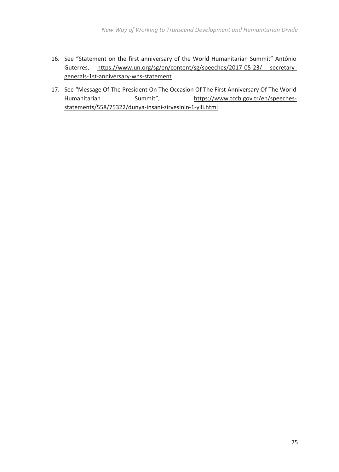- 16. See "Statement on the first anniversary of the World Humanitarian Summit" António Guterres, https://www.un.org/sg/en/content/sg/speeches/2017-05-23/ secretarygenerals-1st-anniversary-whs-statement
- 17. See "Message Of The President On The Occasion Of The First Anniversary Of The World Humanitarian Summit", https://www.tccb.gov.tr/en/speechesstatements/558/75322/dunya-insani-zirvesinin-1-yili.html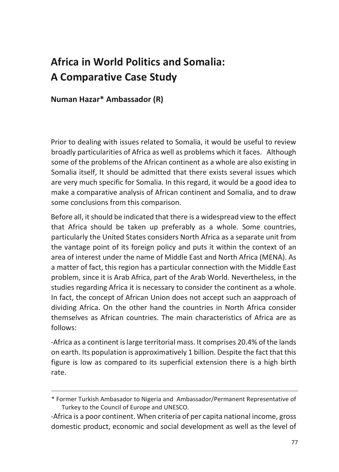## **Africa in World Politics and Somalia: A Comparative Case Study**

**Numan Hazar\* Ambassador (R)**

Prior to dealing with issues related to Somalia, it would be useful to review broadly particularities of Africa as well as problems which it faces. Although some of the problems of the African continent as a whole are also existing in Somalia itself, It should be admitted that there exists several issues which are very much specific for Somalia. In this regard, it would be a good idea to make a comparative analysis of African continent and Somalia, and to draw some conclusions from this comparison.

Before all, it should be indicated that there is a widespread view to the effect that Africa should be taken up preferably as a whole. Some countries, particularly the United States considers North Africa as a separate unit from the vantage point of its foreign policy and puts it within the context of an area of interest under the name of Middle East and North Africa (MENA). As a matter of fact, this region has a particular connection with the Middle East problem, since it is Arab Africa, part of the Arab World. Nevertheless, in the studies regarding Africa it is necessary to consider the continent as a whole. In fact, the concept of African Union does not accept such an aapproach of dividing Africa. On the other hand the countries in North Africa consider themselves as African countries. The main characteristics of Africa are as follows:

-Africa as a continent is large territorial mass. It comprises 20.4% of the lands on earth. Its population is approximatively 1 billion. Despite the fact that this figure is low as compared to its superficial extension there is a high birth rate.

<sup>\*</sup> Former Turkish Ambasador to Nigeria and Ambassador/Permanent Representative of Turkey to the Council of Europe and UNESCO.

<sup>-</sup>Africa is a poor continent. When criteria of per capita national income, gross domestic product, economic and social development as well as the level of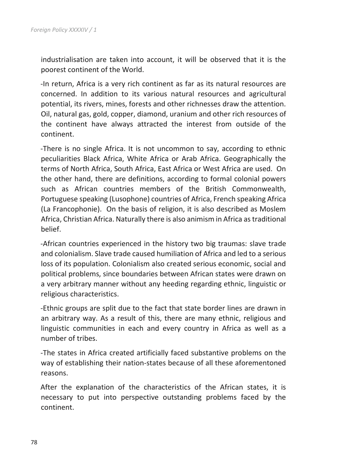industrialisation are taken into account, it will be observed that it is the poorest continent of the World.

-In return, Africa is a very rich continent as far as its natural resources are concerned. In addition to its various natural resources and agricultural potential, its rivers, mines, forests and other richnesses draw the attention. Oil, natural gas, gold, copper, diamond, uranium and other rich resources of the continent have always attracted the interest from outside of the continent.

-There is no single Africa. It is not uncommon to say, according to ethnic peculiarities Black Africa, White Africa or Arab Africa. Geographically the terms of North Africa, South Africa, East Africa or West Africa are used. On the other hand, there are definitions, according to formal colonial powers such as African countries members of the British Commonwealth, Portuguese speaking (Lusophone) countries of Africa, French speaking Africa (La Francophonie). On the basis of religion, it is also described as Moslem Africa, Christian Africa. Naturally there is also animism in Africa as traditional belief.

-African countries experienced in the history two big traumas: slave trade and colonialism. Slave trade caused humiliation of Africa and led to a serious loss of its population. Colonialism also created serious economic, social and political problems, since boundaries between African states were drawn on a very arbitrary manner without any heeding regarding ethnic, linguistic or religious characteristics.

-Ethnic groups are split due to the fact that state border lines are drawn in an arbitrary way. As a result of this, there are many ethnic, religious and linguistic communities in each and every country in Africa as well as a number of tribes.

-The states in Africa created artificially faced substantive problems on the way of establishing their nation-states because of all these aforementoned reasons.

After the explanation of the characteristics of the African states, it is necessary to put into perspective outstanding problems faced by the continent.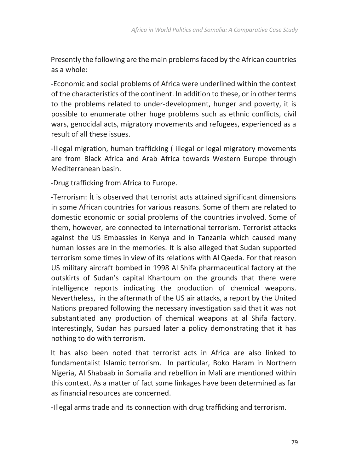Presently the following are the main problems faced by the African countries as a whole:

-Economic and social problems of Africa were underlined within the context of the characteristics of the continent. In addition to these, or in other terms to the problems related to under-development, hunger and poverty, it is possible to enumerate other huge problems such as ethnic conflicts, civil wars, genocidal acts, migratory movements and refugees, experienced as a result of all these issues.

-İllegal migration, human trafficking ( iilegal or legal migratory movements are from Black Africa and Arab Africa towards Western Europe through Mediterranean basin.

-Drug trafficking from Africa to Europe.

-Terrorism: İt is observed that terrorist acts attained significant dimensions in some African countries for various reasons. Some of them are related to domestic economic or social problems of the countries involved. Some of them, however, are connected to international terrorism. Terrorist attacks against the US Embassies in Kenya and in Tanzania which caused many human losses are in the memories. It is also alleged that Sudan supported terrorism some times in view of its relations with Al Qaeda. For that reason US military aircraft bombed in 1998 Al Shifa pharmaceutical factory at the outskirts of Sudan's capital Khartoum on the grounds that there were intelligence reports indicating the production of chemical weapons. Nevertheless, in the aftermath of the US air attacks, a report by the United Nations prepared following the necessary investigation said that it was not substantiated any production of chemical weapons at al Shifa factory. Interestingly, Sudan has pursued later a policy demonstrating that it has nothing to do with terrorism.

It has also been noted that terrorist acts in Africa are also linked to fundamentalist Islamic terrorism. In particular, Boko Haram in Northern Nigeria, Al Shabaab in Somalia and rebellion in Mali are mentioned within this context. As a matter of fact some linkages have been determined as far as financial resources are concerned.

-Illegal arms trade and its connection with drug trafficking and terrorism.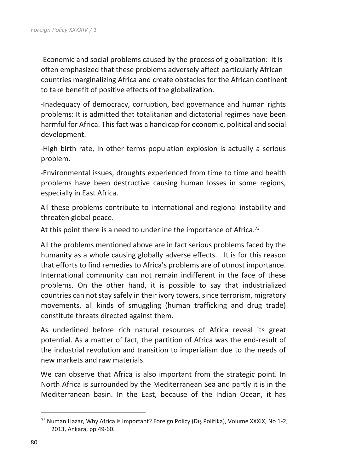-Economic and social problems caused by the process of globalization: it is often emphasized that these problems adversely affect particularly African countries marginalizing Africa and create obstacles for the African continent to take benefit of positive effects of the globalization.

-Inadequacy of democracy, corruption, bad governance and human rights problems: It is admitted that totalitarian and dictatorial regimes have been harmful for Africa. This fact was a handicap for economic, political and social development.

-High birth rate, in other terms population explosion is actually a serious problem.

-Environmental issues, droughts experienced from time to time and health problems have been destructive causing human losses in some regions, especially in East Africa.

All these problems contribute to international and regional instability and threaten global peace.

At this point there is a need to underline the importance of Africa.<sup>73</sup>

All the problems mentioned above are in fact serious problems faced by the humanity as a whole causing globally adverse effects. It is for this reason that efforts to find remedies to Africa's problems are of utmost importance. International community can not remain indifferent in the face of these problems. On the other hand, it is possible to say that industrialized countries can not stay safely in their ivory towers, since terrorism, migratory movements, all kinds of smuggling (human trafficking and drug trade) constitute threats directed against them.

As underlined before rich natural resources of Africa reveal its great potential. As a matter of fact, the partition of Africa was the end-result of the industrial revolution and transition to imperialism due to the needs of new markets and raw materials.

We can observe that Africa is also important from the strategic point. In North Africa is surrounded by the Mediterranean Sea and partly it is in the Mediterranean basin. In the East, because of the Indian Ocean, it has

 $\overline{a}$ 

<sup>73</sup> Numan Hazar, Why Africa is Important? Foreign Policy (Dış Politika), Volume XXXIX, No 1-2, 2013, Ankara, pp.49-60.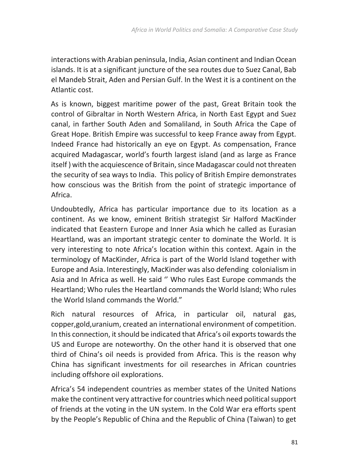interactions with Arabian peninsula, India, Asian continent and Indian Ocean islands. It is at a significant juncture of the sea routes due to Suez Canal, Bab el Mandeb Strait, Aden and Persian Gulf. In the West it is a continent on the Atlantic cost.

As is known, biggest maritime power of the past, Great Britain took the control of Gibraltar in North Western Africa, in North East Egypt and Suez canal, in farther South Aden and Somaliland, in South Africa the Cape of Great Hope. British Empire was successful to keep France away from Egypt. Indeed France had historically an eye on Egypt. As compensation, France acquired Madagascar, world's fourth largest island (and as large as France itself ) with the acquiescence of Britain, since Madagascar could not threaten the security of sea ways to India. This policy of British Empire demonstrates how conscious was the British from the point of strategic importance of Africa.

Undoubtedly, Africa has particular importance due to its location as a continent. As we know, eminent British strategist Sir Halford MacKinder indicated that Eeastern Europe and Inner Asia which he called as Eurasian Heartland, was an important strategic center to dominate the World. It is very interesting to note Africa's location within this context. Again in the terminology of MacKinder, Africa is part of the World Island together with Europe and Asia. Interestingly, MacKinder was also defending colonialism in Asia and In Africa as well. He said '' Who rules East Europe commands the Heartland; Who rules the Heartland commands the World Island; Who rules the World Island commands the World."

Rich natural resources of Africa, in particular oil, natural gas, copper,gold,uranium, created an international environment of competition. In this connection, it should be indicated that Africa's oil exports towards the US and Europe are noteworthy. On the other hand it is observed that one third of China's oil needs is provided from Africa. This is the reason why China has significant investments for oil researches in African countries including offshore oil explorations.

Africa's 54 independent countries as member states of the United Nations make the continent very attractive for countries which need political support of friends at the voting in the UN system. In the Cold War era efforts spent by the People's Republic of China and the Republic of China (Taiwan) to get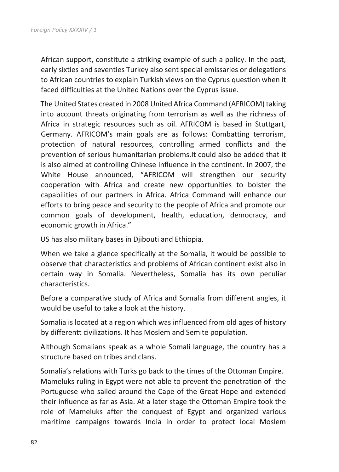African support, constitute a striking example of such a policy. In the past, early sixties and seventies Turkey also sent special emissaries or delegations to African countries to explain Turkish views on the Cyprus question when it faced difficulties at the United Nations over the Cyprus issue.

The United States created in 2008 United Africa Command (AFRICOM) taking into account threats originating from terrorism as well as the richness of Africa in strategic resources such as oil. AFRICOM is based in Stuttgart, Germany. AFRICOM's main goals are as follows: Combatting terrorism, protection of natural resources, controlling armed conflicts and the prevention of serious humanitarian problems.It could also be added that it is also aimed at controlling Chinese influence in the continent. In 2007, the White House announced, "AFRICOM will strengthen our security cooperation with Africa and create new opportunities to bolster the capabilities of our partners in Africa. Africa Command will enhance our efforts to bring peace and security to the people of Africa and promote our common goals of development, health, education, democracy, and economic growth in Africa."

US has also military bases in Djibouti and Ethiopia.

When we take a glance specifically at the Somalia, it would be possible to observe that characteristics and problems of African continent exist also in certain way in Somalia. Nevertheless, Somalia has its own peculiar characteristics.

Before a comparative study of Africa and Somalia from different angles, it would be useful to take a look at the history.

Somalia is located at a region which was influenced from old ages of history by differentt civilizations. It has Moslem and Semite population.

Although Somalians speak as a whole Somali language, the country has a structure based on tribes and clans.

Somalia's relations with Turks go back to the times of the Ottoman Empire. Mameluks ruling in Egypt were not able to prevent the penetration of the Portuguese who sailed around the Cape of the Great Hope and extended their influence as far as Asia. At a later stage the Ottoman Empire took the role of Mameluks after the conquest of Egypt and organized various maritime campaigns towards India in order to protect local Moslem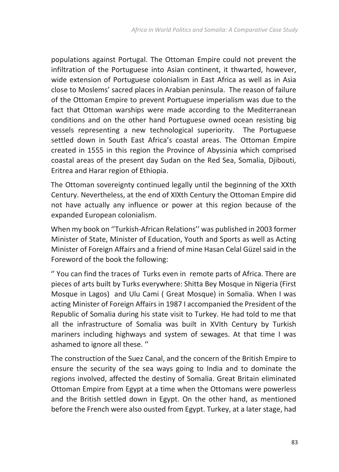populations against Portugal. The Ottoman Empire could not prevent the infiltration of the Portuguese into Asian continent, it thwarted, however, wide extension of Portuguese colonialism in East Africa as well as in Asia close to Moslems' sacred places in Arabian peninsula. The reason of failure of the Ottoman Empire to prevent Portuguese imperialism was due to the fact that Ottoman warships were made according to the Mediterranean conditions and on the other hand Portuguese owned ocean resisting big vessels representing a new technological superiority. The Portuguese settled down in South East Africa's coastal areas. The Ottoman Empire created in 1555 in this region the Province of Abyssinia which comprised coastal areas of the present day Sudan on the Red Sea, Somalia, Djibouti, Eritrea and Harar region of Ethiopia.

The Ottoman sovereignty continued legally until the beginning of the XXth Century. Nevertheless, at the end of XIXth Century the Ottoman Empire did not have actually any influence or power at this region because of the expanded European colonialism.

When my book on ''Turkish-African Relations'' was published in 2003 former Minister of State, Minister of Education, Youth and Sports as well as Acting Minister of Foreign Affairs and a friend of mine Hasan Celal Güzel said in the Foreword of the book the following:

'' You can find the traces of Turks even in remote parts of Africa. There are pieces of arts built by Turks everywhere: Shitta Bey Mosque in Nigeria (First Mosque in Lagos) and Ulu Cami ( Great Mosque) in Somalia. When I was acting Minister of Foreign Affairs in 1987 I accompanied the President of the Republic of Somalia during his state visit to Turkey. He had told to me that all the infrastructure of Somalia was built in XVIth Century by Turkish mariners including highways and system of sewages. At that time I was ashamed to ignore all these. ''

The construction of the Suez Canal, and the concern of the British Empire to ensure the security of the sea ways going to India and to dominate the regions involved, affected the destiny of Somalia. Great Britain eliminated Ottoman Empire from Egypt at a time when the Ottomans were powerless and the British settled down in Egypt. On the other hand, as mentioned before the French were also ousted from Egypt. Turkey, at a later stage, had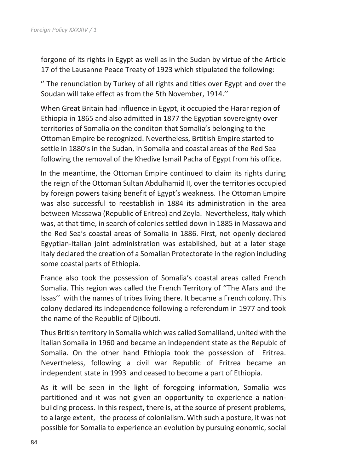forgone of its rights in Egypt as well as in the Sudan by virtue of the Article 17 of the Lausanne Peace Treaty of 1923 which stipulated the following:

'' The renunciation by Turkey of all rights and titles over Egypt and over the Soudan will take effect as from the 5th November, 1914.''

When Great Britain had influence in Egypt, it occupied the Harar region of Ethiopia in 1865 and also admitted in 1877 the Egyptian sovereignty over territories of Somalia on the conditon that Somalia's belonging to the Ottoman Empire be recognized. Nevertheless, Brtitish Empire started to settle in 1880's in the Sudan, in Somalia and coastal areas of the Red Sea following the removal of the Khedive Ismail Pacha of Egypt from his office.

In the meantime, the Ottoman Empire continued to claim its rights during the reign of the Ottoman Sultan Abdulhamid II, over the territories occupied by foreign powers taking benefit of Egypt's weakness. The Ottoman Empire was also successful to reestablish in 1884 its administration in the area between Massawa (Republic of Eritrea) and Zeyla. Nevertheless, Italy which was, at that time, in search of colonies settled down in 1885 in Massawa and the Red Sea's coastal areas of Somalia in 1886. First, not openly declared Egyptian-Italian joint administration was established, but at a later stage Italy declared the creation of a Somalian Protectorate in the region including some coastal parts of Ethiopia.

France also took the possession of Somalia's coastal areas called French Somalia. This region was called the French Territory of ''The Afars and the Issas'' with the names of tribes living there. It became a French colony. This colony declared its independence following a referendum in 1977 and took the name of the Republic of Djibouti.

Thus British territory in Somalia which was called Somaliland, united with the İtalian Somalia in 1960 and became an independent state as the Republc of Somalia. On the other hand Ethiopia took the possession of Eritrea. Nevertheless, following a civil war Republic of Eritrea became an independent state in 1993 and ceased to become a part of Ethiopia.

As it will be seen in the light of foregoing information, Somalia was partitioned and ıt was not given an opportunity to experience a nationbuilding process. In this respect, there is, at the source of present problems, to a large extent, the process of colonialism. With such a posture, it was not possible for Somalia to experience an evolution by pursuing eonomic, social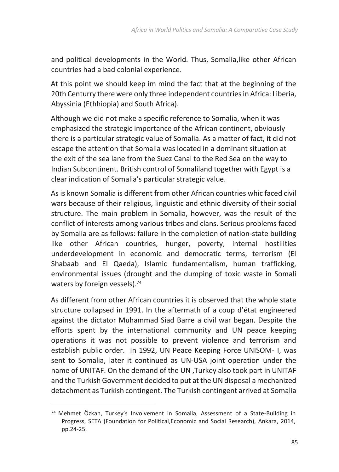and political developments in the World. Thus, Somalia,like other African countries had a bad colonial experience.

At this point we should keep im mind the fact that at the beginning of the 20th Centurry there were only three independent countries in Africa: Liberia, Abyssinia (Ethhiopia) and South Africa).

Although we did not make a specific reference to Somalia, when it was emphasized the strategic importance of the African continent, obviously there is a particular strategic value of Somalia. As a matter of fact, it did not escape the attention that Somalia was located in a dominant situation at the exit of the sea lane from the Suez Canal to the Red Sea on the way to Indian Subcontinent. British control of Somaliland together with Egypt is a clear indication of Somalia's particular strategic value.

As is known Somalia is different from other African countries whic faced civil wars because of their religious, linguistic and ethnic diversity of their social structure. The main problem in Somalia, however, was the result of the conflict of interests among various tribes and clans. Serious problems faced by Somalia are as follows: failure in the completion of nation-state building like other African countries, hunger, poverty, internal hostilities underdevelopment in economic and democratic terms, terrorism (El Shabaab and El Qaeda), Islamic fundamentalism, human trafficking, environmental issues (drought and the dumping of toxic waste in Somali waters by foreign vessels).<sup>74</sup>

As different from other African countries it is observed that the whole state structure collapsed in 1991. In the aftermath of a coup d'état engineered against the dictator Muhammad Siad Barre a civil war began. Despite the efforts spent by the international community and UN peace keeping operations it was not possible to prevent violence and terrorism and establish public order. In 1992, UN Peace Keeping Force UNISOM- I, was sent to Somalia, later it continued as UN-USA joint operation under the name of UNITAF. On the demand of the UN ,Turkey also took part in UNITAF and the Turkish Government decided to put at the UN disposal a mechanized detachment as Turkish contingent. The Turkish contingent arrived at Somalia

<u>.</u>

<sup>74</sup> Mehmet Özkan, Turkey's Involvement in Somalia, Assessment of a State-Building in Progress, SETA (Foundation for Political,Economic and Social Research), Ankara, 2014, pp.24-25.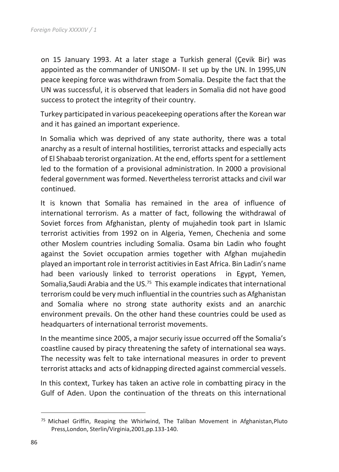on 15 January 1993. At a later stage a Turkish general (Çevik Bir) was appointed as the commander of UNISOM- II set up by the UN. In 1995,UN peace keeping force was withdrawn from Somalia. Despite the fact that the UN was successful, it is observed that leaders in Somalia did not have good success to protect the integrity of their country.

Turkey participated in various peacekeeping operations after the Korean war and it has gained an important experience.

In Somalia which was deprived of any state authority, there was a total anarchy as a result of internal hostilities, terrorist attacks and especially acts of El Shabaab terorist organization. At the end, efforts spent for a settlement led to the formation of a provisional administration. In 2000 a provisional federal government was formed. Nevertheless terrorist attacks and civil war continued.

It is known that Somalia has remained in the area of influence of international terrorism. As a matter of fact, following the withdrawal of Soviet forces from Afghanistan, plenty of mujahedin took part in Islamic terrorist activities from 1992 on in Algeria, Yemen, Chechenia and some other Moslem countries including Somalia. Osama bin Ladin who fought against the Soviet occupation armies together with Afghan mujahedin played an important role in terrorist actitivies in East Africa. Bin Ladin's name had been variously linked to terrorist operations in Egypt, Yemen, Somalia, Saudi Arabia and the US.<sup>75</sup> This example indicates that international terrorism could be very much influential in the countries such as Afghanistan and Somalia where no strong state authority exists and an anarchic environment prevails. On the other hand these countries could be used as headquarters of international terrorist movements.

In the meantime since 2005, a major securiy issue occurred off the Somalia's coastline caused by piracy threatening the safety of international sea ways. The necessity was felt to take international measures in order to prevent terrorist attacks and acts of kidnapping directed against commercial vessels.

In this context, Turkey has taken an active role in combatting piracy in the Gulf of Aden. Upon the continuation of the threats on this international

 $\overline{a}$ 

<sup>75</sup> Michael Griffin, Reaping the Whirlwind, The Taliban Movement in Afghanistan,Pluto Press,London, Sterlin/Virginia,2001,pp.133-140.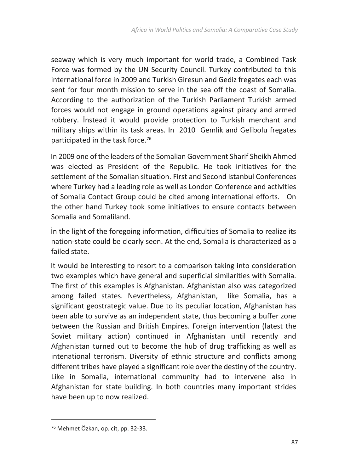seaway which is very much important for world trade, a Combined Task Force was formed by the UN Security Council. Turkey contributed to this international force in 2009 and Turkish Giresun and Gediz fregates each was sent for four month mission to serve in the sea off the coast of Somalia. According to the authorization of the Turkish Parliament Turkish armed forces would not engage in ground operations against piracy and armed robbery. İnstead it would provide protection to Turkish merchant and military ships within its task areas. In 2010 Gemlik and Gelibolu fregates participated in the task force.<sup>76</sup>

In 2009 one of the leaders of the Somalian Government Sharif Sheikh Ahmed was elected as President of the Republic. He took initiatives for the settlement of the Somalian situation. First and Second Istanbul Conferences where Turkey had a leading role as well as London Conference and activities of Somalia Contact Group could be cited among international efforts. On the other hand Turkey took some initiatives to ensure contacts between Somalia and Somaliland.

İn the light of the foregoing information, difficulties of Somalia to realize its nation-state could be clearly seen. At the end, Somalia is characterized as a failed state.

It would be interesting to resort to a comparison taking into consideration two examples which have general and superficial similarities with Somalia. The first of this examples is Afghanistan. Afghanistan also was categorized among failed states. Nevertheless, Afghanistan, like Somalia, has a significant geostrategic value. Due to its peculiar location, Afghanistan has been able to survive as an independent state, thus becoming a buffer zone between the Russian and British Empires. Foreign intervention (latest the Soviet military action) continued in Afghanistan until recently and Afghanistan turned out to become the hub of drug trafficking as well as intenational terrorism. Diversity of ethnic structure and conflicts among different tribes have played a significant role over the destiny of the country. Like in Somalia, international community had to intervene also in Afghanistan for state building. In both countries many important strides have been up to now realized.

1

<sup>76</sup> Mehmet Özkan, op. cit, pp. 32-33.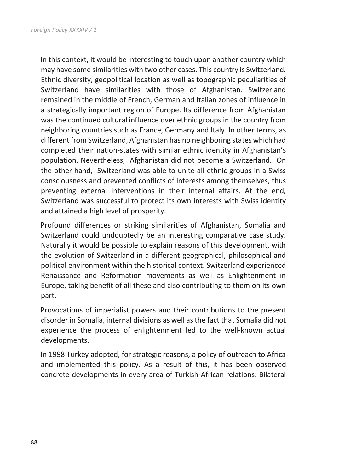In this context, it would be interesting to touch upon another country which may have some similarities with two other cases. This country is Switzerland. Ethnic diversity, geopolitical location as well as topographic peculiarities of Switzerland have similarities with those of Afghanistan. Switzerland remained in the middle of French, German and Italian zones of influence in a strategically important region of Europe. Its difference from Afghanistan was the continued cultural influence over ethnic groups in the country from neighboring countries such as France, Germany and Italy. In other terms, as different from Switzerland, Afghanistan has no neighboring states which had completed their nation-states with similar ethnic identity in Afghanistan's population. Nevertheless, Afghanistan did not become a Switzerland. On the other hand, Switzerland was able to unite all ethnic groups in a Swiss consciousness and prevented conflicts of interests among themselves, thus preventing external interventions in their internal affairs. At the end, Switzerland was successful to protect its own interests with Swiss identity and attained a high level of prosperity.

Profound differences or striking similarities of Afghanistan, Somalia and Switzerland could undoubtedly be an interesting comparative case study. Naturally it would be possible to explain reasons of this development, with the evolution of Switzerland in a different geographical, philosophical and political environment within the historical context. Switzerland experienced Renaissance and Reformation movements as well as Enlightenment in Europe, taking benefit of all these and also contributing to them on its own part.

Provocations of imperialist powers and their contributions to the present disorder in Somalia, internal divisions as well as the fact that Somalia did not experience the process of enlightenment led to the well-known actual developments.

In 1998 Turkey adopted, for strategic reasons, a policy of outreach to Africa and implemented this policy. As a result of this, it has been observed concrete developments in every area of Turkish-African relations: Bilateral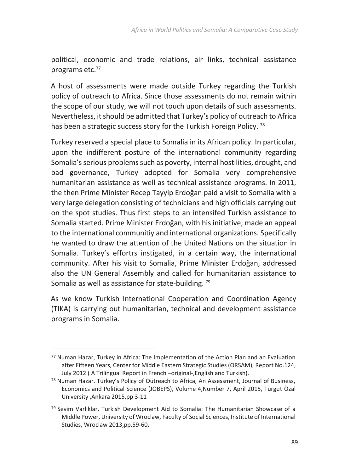political, economic and trade relations, air links, technical assistance programs etc.<sup>77</sup>

A host of assessments were made outside Turkey regarding the Turkish policy of outreach to Africa. Since those assessments do not remain within the scope of our study, we will not touch upon details of such assessments. Nevertheless, it should be admitted that Turkey's policy of outreach to Africa has been a strategic success story for the Turkish Foreign Policy.<sup>78</sup>

Turkey reserved a special place to Somalia in its African policy. In particular, upon the indifferent posture of the international community regarding Somalia's serious problems such as poverty, internal hostilities, drought, and bad governance, Turkey adopted for Somalia very comprehensive humanitarian assistance as well as technical assistance programs. In 2011, the then Prime Minister Recep Tayyip Erdoğan paid a visit to Somalia with a very large delegation consisting of technicians and high officials carrying out on the spot studies. Thus first steps to an intensifed Turkish assistance to Somalia started. Prime Minister Erdoğan, with his initiative, made an appeal to the international communitiy and international organizations. Specifically he wanted to draw the attention of the United Nations on the situation in Somalia. Turkey's effortrs instigated, in a certain way, the international community. After his visit to Somalia, Prime Minister Erdoğan, addressed also the UN General Assembly and called for humanitarian assistance to Somalia as well as assistance for state-building.<sup>79</sup>

As we know Turkish International Cooperation and Coordination Agency (TIKA) is carrying out humanitarian, technical and development assistance programs in Somalia.

1

<sup>77</sup> Numan Hazar, Turkey in Africa: The Implementation of the Action Plan and an Evaluation after Fifteen Years, Center for Middle Eastern Strategic Studies (ORSAM), Report No.124, July 2012 ( A Trilingual Report in French –original-,English and Turkish).

<sup>78</sup> Numan Hazar. Turkey's Policy of Outreach to Africa, An Assessment, Journal of Business, Economics and Political Science (JOBEPS), Volume 4,Number 7, April 2015, Turgut Özal University ,Ankara 2015,pp 3-11

 $79$  Sevim Varlıklar, Turkish Development Aid to Somalia: The Humanitarian Showcase of a Middle Power, University of Wroclaw, Faculty of Social Sciences, Institute of International Studies, Wroclaw 2013,pp.59-60.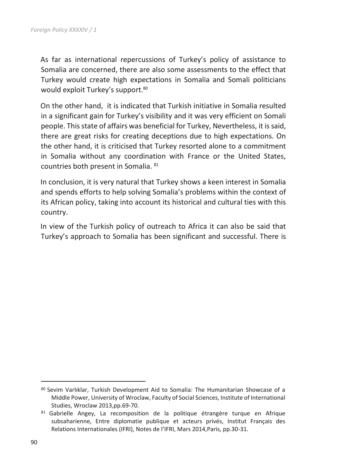As far as international repercussions of Turkey's policy of assistance to Somalia are concerned, there are also some assessments to the effect that Turkey would create high expectations in Somalia and Somali politicians would exploit Turkey's support.<sup>80</sup>

On the other hand, it is indicated that Turkish initiative in Somalia resulted in a significant gain for Turkey's visibility and it was very efficient on Somali people. This state of affairs was beneficial for Turkey, Nevertheless, it is said, there are great risks for creating deceptions due to high expectations. On the other hand, it is criticised that Turkey resorted alone to a commitment in Somalia without any coordination with France or the United States, countries both present in Somalia. 81

In conclusion, it is very natural that Turkey shows a keen interest in Somalia and spends efforts to help solving Somalia's problems within the context of its African policy, taking into account its historical and cultural ties with this country.

In view of the Turkish policy of outreach to Africa it can also be said that Turkey's approach to Somalia has been significant and successful. There is

 $\overline{a}$ 

<sup>80</sup> Sevim Varlıklar, Turkish Development Aid to Somalia: The Humanitarian Showcase of a Middle Power, University of Wroclaw, Faculty of Social Sciences, Institute of International Studies, Wroclaw 2013,pp.69-70.

<sup>81</sup> Gabrielle Angey, La recomposition de la politique étrangère turque en Afrique subsaharienne, Entre diplomatie publique et acteurs privés, Institut Français des Relations Internationales (IFRI), Notes de l'IFRI, Mars 2014,Paris, pp.30-31.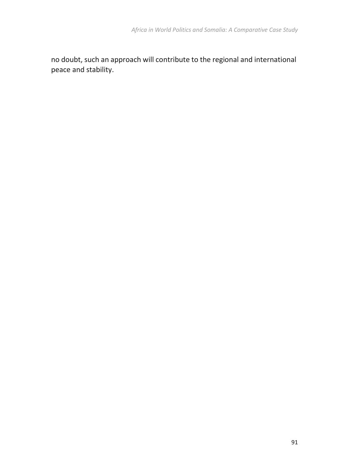no doubt, such an approach will contribute to the regional and international peace and stability.